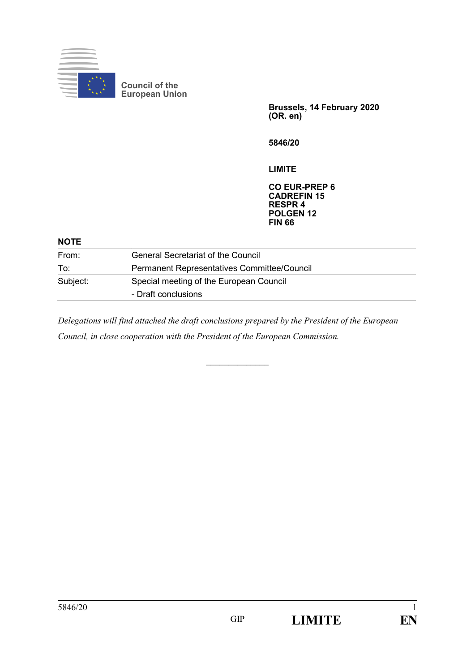

**Brussels, 14 February 2020 (OR. en)**

**5846/20**

**LIMITE**

**CO EUR-PREP 6 CADREFIN 15 RESPR 4 POLGEN 12 FIN 66**

| <b>NOTE</b> |                                             |
|-------------|---------------------------------------------|
| From:       | <b>General Secretariat of the Council</b>   |
| To:         | Permanent Representatives Committee/Council |
| Subject:    | Special meeting of the European Council     |
|             | - Draft conclusions                         |
|             |                                             |

*Delegations will find attached the draft conclusions prepared by the President of the European Council, in close cooperation with the President of the European Commission.*

*\_\_\_\_\_\_\_\_\_\_\_\_\_\_*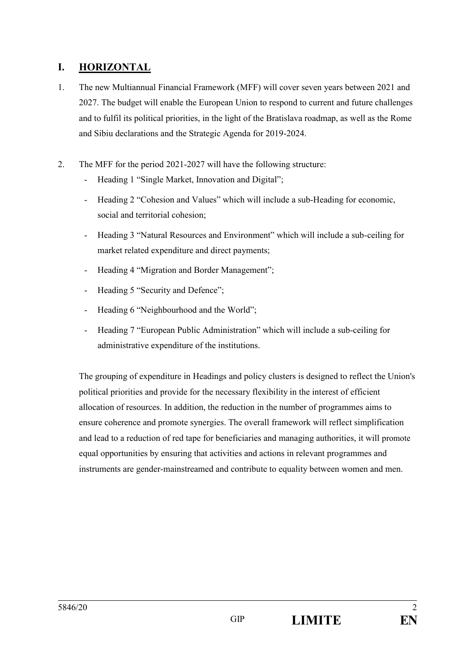# **I. HORIZONTAL**

- 1. The new Multiannual Financial Framework (MFF) will cover seven years between 2021 and 2027. The budget will enable the European Union to respond to current and future challenges and to fulfil its political priorities, in the light of the Bratislava roadmap, as well as the Rome and Sibiu declarations and the Strategic Agenda for 2019-2024.
- 2. The MFF for the period 2021-2027 will have the following structure:
	- Heading 1 "Single Market, Innovation and Digital":
	- Heading 2 "Cohesion and Values" which will include a sub-Heading for economic, social and territorial cohesion;
	- Heading 3 "Natural Resources and Environment" which will include a sub-ceiling for market related expenditure and direct payments;
	- Heading 4 "Migration and Border Management";
	- Heading 5 "Security and Defence";
	- Heading 6 "Neighbourhood and the World";
	- Heading 7 "European Public Administration" which will include a sub-ceiling for administrative expenditure of the institutions.

The grouping of expenditure in Headings and policy clusters is designed to reflect the Union's political priorities and provide for the necessary flexibility in the interest of efficient allocation of resources. In addition, the reduction in the number of programmes aims to ensure coherence and promote synergies. The overall framework will reflect simplification and lead to a reduction of red tape for beneficiaries and managing authorities, it will promote equal opportunities by ensuring that activities and actions in relevant programmes and instruments are gender-mainstreamed and contribute to equality between women and men.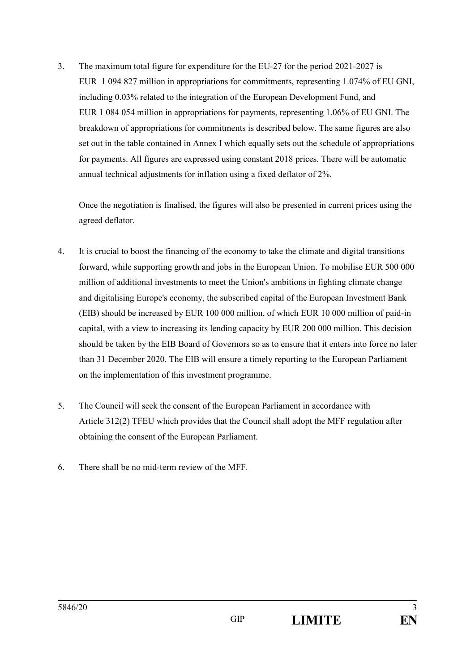3. The maximum total figure for expenditure for the EU-27 for the period 2021-2027 is EUR 1 094 827 million in appropriations for commitments, representing 1.074% of EU GNI, including 0.03% related to the integration of the European Development Fund, and EUR 1 084 054 million in appropriations for payments, representing 1.06% of EU GNI. The breakdown of appropriations for commitments is described below. The same figures are also set out in the table contained in Annex I which equally sets out the schedule of appropriations for payments. All figures are expressed using constant 2018 prices. There will be automatic annual technical adjustments for inflation using a fixed deflator of 2%.

Once the negotiation is finalised, the figures will also be presented in current prices using the agreed deflator.

- 4. It is crucial to boost the financing of the economy to take the climate and digital transitions forward, while supporting growth and jobs in the European Union. To mobilise EUR 500 000 million of additional investments to meet the Union's ambitions in fighting climate change and digitalising Europe's economy, the subscribed capital of the European Investment Bank (EIB) should be increased by EUR 100 000 million, of which EUR 10 000 million of paid-in capital, with a view to increasing its lending capacity by EUR 200 000 million. This decision should be taken by the EIB Board of Governors so as to ensure that it enters into force no later than 31 December 2020. The EIB will ensure a timely reporting to the European Parliament on the implementation of this investment programme.
- 5. The Council will seek the consent of the European Parliament in accordance with Article 312(2) TFEU which provides that the Council shall adopt the MFF regulation after obtaining the consent of the European Parliament.
- 6. There shall be no mid-term review of the MFF.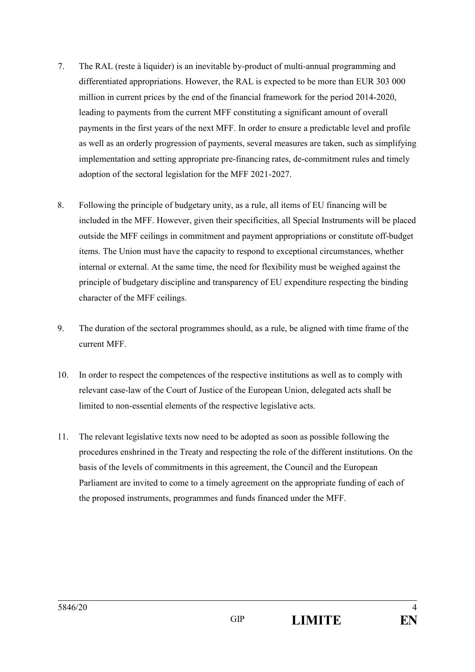- 7. The RAL (reste à liquider) is an inevitable by-product of multi-annual programming and differentiated appropriations. However, the RAL is expected to be more than EUR 303 000 million in current prices by the end of the financial framework for the period 2014-2020, leading to payments from the current MFF constituting a significant amount of overall payments in the first years of the next MFF. In order to ensure a predictable level and profile as well as an orderly progression of payments, several measures are taken, such as simplifying implementation and setting appropriate pre-financing rates, de-commitment rules and timely adoption of the sectoral legislation for the MFF 2021-2027.
- 8. Following the principle of budgetary unity, as a rule, all items of EU financing will be included in the MFF. However, given their specificities, all Special Instruments will be placed outside the MFF ceilings in commitment and payment appropriations or constitute off-budget items. The Union must have the capacity to respond to exceptional circumstances, whether internal or external. At the same time, the need for flexibility must be weighed against the principle of budgetary discipline and transparency of EU expenditure respecting the binding character of the MFF ceilings.
- 9. The duration of the sectoral programmes should, as a rule, be aligned with time frame of the current MFF.
- 10. In order to respect the competences of the respective institutions as well as to comply with relevant case-law of the Court of Justice of the European Union, delegated acts shall be limited to non-essential elements of the respective legislative acts.
- 11. The relevant legislative texts now need to be adopted as soon as possible following the procedures enshrined in the Treaty and respecting the role of the different institutions. On the basis of the levels of commitments in this agreement, the Council and the European Parliament are invited to come to a timely agreement on the appropriate funding of each of the proposed instruments, programmes and funds financed under the MFF.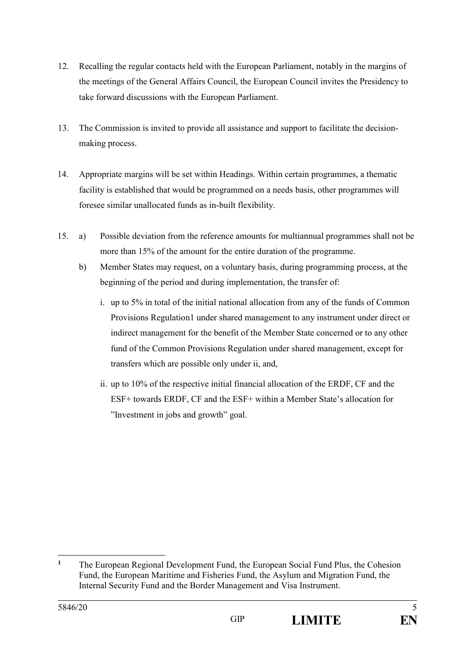- 12. Recalling the regular contacts held with the European Parliament, notably in the margins of the meetings of the General Affairs Council, the European Council invites the Presidency to take forward discussions with the European Parliament.
- 13. The Commission is invited to provide all assistance and support to facilitate the decisionmaking process.
- 14. Appropriate margins will be set within Headings. Within certain programmes, a thematic facility is established that would be programmed on a needs basis, other programmes will foresee similar unallocated funds as in-built flexibility.
- 15. a) Possible deviation from the reference amounts for multiannual programmes shall not be more than 15% of the amount for the entire duration of the programme.
	- b) Member States may request, on a voluntary basis, during programming process, at the beginning of the period and during implementation, the transfer of:
		- i. up to 5% in total of the initial national allocation from any of the funds of Common Provisions Regulation1 under shared management to any instrument under direct or indirect management for the benefit of the Member State concerned or to any other fund of the Common Provisions Regulation under shared management, except for transfers which are possible only under ii, and,
		- ii. up to 10% of the respective initial financial allocation of the ERDF, CF and the ESF+ towards ERDF, CF and the ESF+ within a Member State's allocation for "Investment in jobs and growth" goal.

 $\mathbf{1}$ **<sup>1</sup>** The European Regional Development Fund, the European Social Fund Plus, the Cohesion Fund, the European Maritime and Fisheries Fund, the Asylum and Migration Fund, the Internal Security Fund and the Border Management and Visa Instrument.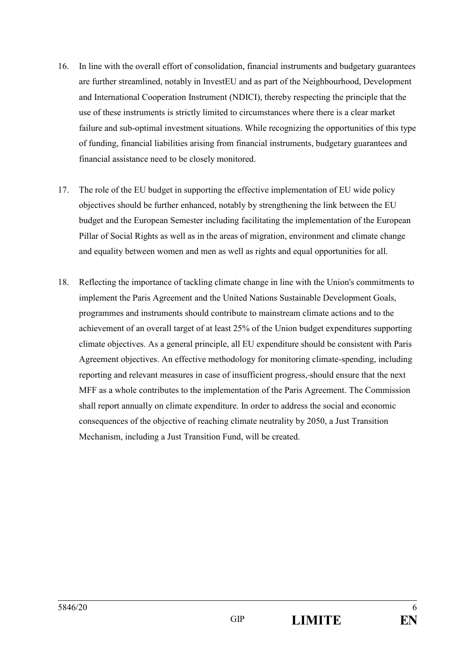- 16. In line with the overall effort of consolidation, financial instruments and budgetary guarantees are further streamlined, notably in InvestEU and as part of the Neighbourhood, Development and International Cooperation Instrument (NDICI), thereby respecting the principle that the use of these instruments is strictly limited to circumstances where there is a clear market failure and sub-optimal investment situations. While recognizing the opportunities of this type of funding, financial liabilities arising from financial instruments, budgetary guarantees and financial assistance need to be closely monitored.
- 17. The role of the EU budget in supporting the effective implementation of EU wide policy objectives should be further enhanced, notably by strengthening the link between the EU budget and the European Semester including facilitating the implementation of the European Pillar of Social Rights as well as in the areas of migration, environment and climate change and equality between women and men as well as rights and equal opportunities for all.
- 18. Reflecting the importance of tackling climate change in line with the Union's commitments to implement the Paris Agreement and the United Nations Sustainable Development Goals, programmes and instruments should contribute to mainstream climate actions and to the achievement of an overall target of at least 25% of the Union budget expenditures supporting climate objectives. As a general principle, all EU expenditure should be consistent with Paris Agreement objectives. An effective methodology for monitoring climate-spending, including reporting and relevant measures in case of insufficient progress, should ensure that the next MFF as a whole contributes to the implementation of the Paris Agreement. The Commission shall report annually on climate expenditure. In order to address the social and economic consequences of the objective of reaching climate neutrality by 2050, a Just Transition Mechanism, including a Just Transition Fund, will be created.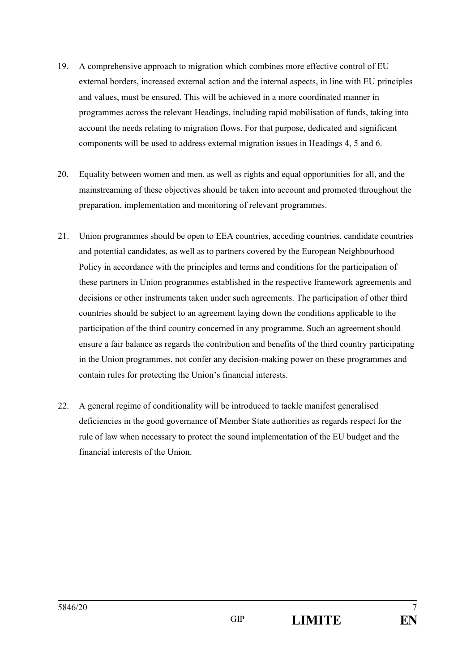- 19. A comprehensive approach to migration which combines more effective control of EU external borders, increased external action and the internal aspects, in line with EU principles and values, must be ensured. This will be achieved in a more coordinated manner in programmes across the relevant Headings, including rapid mobilisation of funds, taking into account the needs relating to migration flows. For that purpose, dedicated and significant components will be used to address external migration issues in Headings 4, 5 and 6.
- 20. Equality between women and men, as well as rights and equal opportunities for all, and the mainstreaming of these objectives should be taken into account and promoted throughout the preparation, implementation and monitoring of relevant programmes.
- 21. Union programmes should be open to EEA countries, acceding countries, candidate countries and potential candidates, as well as to partners covered by the European Neighbourhood Policy in accordance with the principles and terms and conditions for the participation of these partners in Union programmes established in the respective framework agreements and decisions or other instruments taken under such agreements. The participation of other third countries should be subject to an agreement laying down the conditions applicable to the participation of the third country concerned in any programme. Such an agreement should ensure a fair balance as regards the contribution and benefits of the third country participating in the Union programmes, not confer any decision-making power on these programmes and contain rules for protecting the Union's financial interests.
- 22. A general regime of conditionality will be introduced to tackle manifest generalised deficiencies in the good governance of Member State authorities as regards respect for the rule of law when necessary to protect the sound implementation of the EU budget and the financial interests of the Union.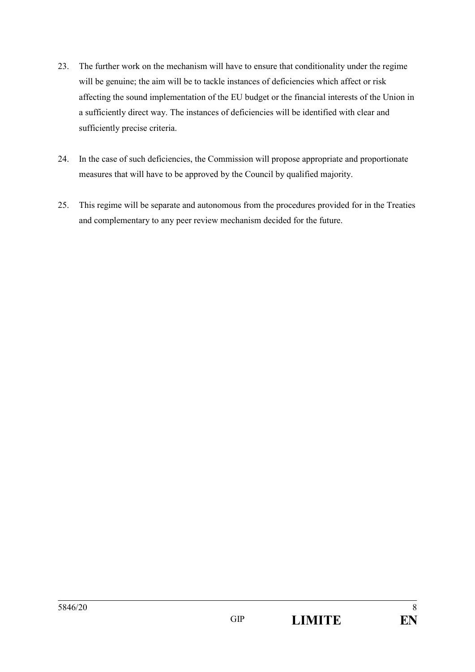- 23. The further work on the mechanism will have to ensure that conditionality under the regime will be genuine; the aim will be to tackle instances of deficiencies which affect or risk affecting the sound implementation of the EU budget or the financial interests of the Union in a sufficiently direct way. The instances of deficiencies will be identified with clear and sufficiently precise criteria.
- 24. In the case of such deficiencies, the Commission will propose appropriate and proportionate measures that will have to be approved by the Council by qualified majority.
- 25. This regime will be separate and autonomous from the procedures provided for in the Treaties and complementary to any peer review mechanism decided for the future.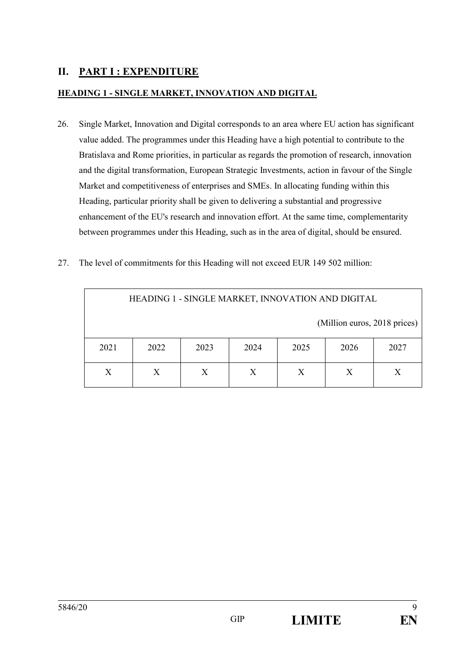# **II. PART I : EXPENDITURE**

## **HEADING 1 - SINGLE MARKET, INNOVATION AND DIGITAL**

- 26. Single Market, Innovation and Digital corresponds to an area where EU action has significant value added. The programmes under this Heading have a high potential to contribute to the Bratislava and Rome priorities, in particular as regards the promotion of research, innovation and the digital transformation, European Strategic Investments, action in favour of the Single Market and competitiveness of enterprises and SMEs. In allocating funding within this Heading, particular priority shall be given to delivering a substantial and progressive enhancement of the EU's research and innovation effort. At the same time, complementarity between programmes under this Heading, such as in the area of digital, should be ensured.
- 27. The level of commitments for this Heading will not exceed EUR 149 502 million:

| HEADING 1 - SINGLE MARKET, INNOVATION AND DIGITAL |      |      |      |      |      |      |  |  |
|---------------------------------------------------|------|------|------|------|------|------|--|--|
| (Million euros, 2018 prices)                      |      |      |      |      |      |      |  |  |
| 2021                                              | 2022 | 2023 | 2024 | 2025 | 2026 | 2027 |  |  |
| X<br>X<br>X<br>X<br>X<br>X<br>X                   |      |      |      |      |      |      |  |  |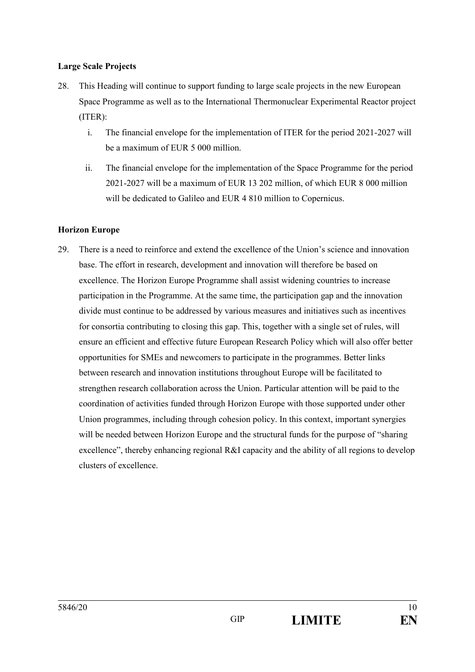#### **Large Scale Projects**

- 28. This Heading will continue to support funding to large scale projects in the new European Space Programme as well as to the International Thermonuclear Experimental Reactor project (ITER):
	- i. The financial envelope for the implementation of ITER for the period 2021-2027 will be a maximum of EUR 5 000 million.
	- ii. The financial envelope for the implementation of the Space Programme for the period 2021-2027 will be a maximum of EUR 13 202 million, of which EUR 8 000 million will be dedicated to Galileo and EUR 4 810 million to Copernicus.

## **Horizon Europe**

29. There is a need to reinforce and extend the excellence of the Union's science and innovation base. The effort in research, development and innovation will therefore be based on excellence. The Horizon Europe Programme shall assist widening countries to increase participation in the Programme. At the same time, the participation gap and the innovation divide must continue to be addressed by various measures and initiatives such as incentives for consortia contributing to closing this gap. This, together with a single set of rules, will ensure an efficient and effective future European Research Policy which will also offer better opportunities for SMEs and newcomers to participate in the programmes. Better links between research and innovation institutions throughout Europe will be facilitated to strengthen research collaboration across the Union. Particular attention will be paid to the coordination of activities funded through Horizon Europe with those supported under other Union programmes, including through cohesion policy. In this context, important synergies will be needed between Horizon Europe and the structural funds for the purpose of "sharing" excellence", thereby enhancing regional  $R\&I$  capacity and the ability of all regions to develop clusters of excellence.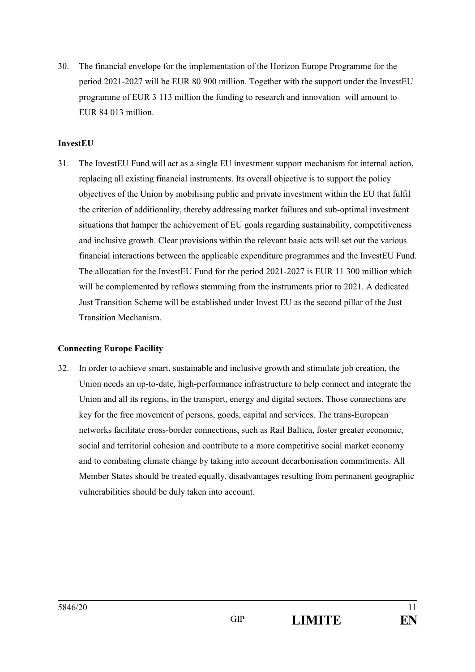30. The financial envelope for the implementation of the Horizon Europe Programme for the period 2021-2027 will be EUR 80 900 million. Together with the support under the InvestEU programme of EUR 3 113 million the funding to research and innovation will amount to EUR 84 013 million.

#### **InvestEU**

31. The InvestEU Fund will act as a single EU investment support mechanism for internal action, replacing all existing financial instruments. Its overall objective is to support the policy objectives of the Union by mobilising public and private investment within the EU that fulfil the criterion of additionality, thereby addressing market failures and sub-optimal investment situations that hamper the achievement of EU goals regarding sustainability, competitiveness and inclusive growth. Clear provisions within the relevant basic acts will set out the various financial interactions between the applicable expenditure programmes and the InvestEU Fund. The allocation for the InvestEU Fund for the period 2021-2027 is EUR 11 300 million which will be complemented by reflows stemming from the instruments prior to 2021. A dedicated Just Transition Scheme will be established under Invest EU as the second pillar of the Just Transition Mechanism.

## **Connecting Europe Facility**

32. In order to achieve smart, sustainable and inclusive growth and stimulate job creation, the Union needs an up-to-date, high-performance infrastructure to help connect and integrate the Union and all its regions, in the transport, energy and digital sectors. Those connections are key for the free movement of persons, goods, capital and services. The trans-European networks facilitate cross-border connections, such as Rail Baltica, foster greater economic, social and territorial cohesion and contribute to a more competitive social market economy and to combating climate change by taking into account decarbonisation commitments. All Member States should be treated equally, disadvantages resulting from permanent geographic vulnerabilities should be duly taken into account.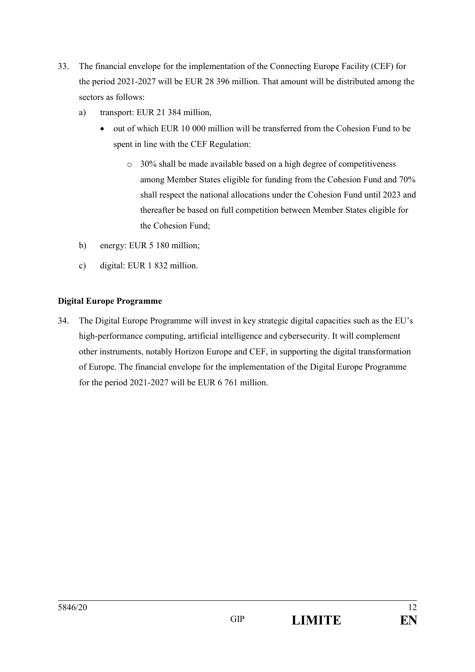- 33. The financial envelope for the implementation of the Connecting Europe Facility (CEF) for the period 2021-2027 will be EUR 28 396 million. That amount will be distributed among the sectors as follows:
	- a) transport: EUR 21 384 million,
		- out of which EUR 10 000 million will be transferred from the Cohesion Fund to be spent in line with the CEF Regulation:
			- o 30% shall be made available based on a high degree of competitiveness among Member States eligible for funding from the Cohesion Fund and 70% shall respect the national allocations under the Cohesion Fund until 2023 and thereafter be based on full competition between Member States eligible for the Cohesion Fund;
	- b) energy: EUR 5 180 million;
	- c) digital: EUR 1 832 million.

## **Digital Europe Programme**

34. The Digital Europe Programme will invest in key strategic digital capacities such as the EU's high-performance computing, artificial intelligence and cybersecurity. It will complement other instruments, notably Horizon Europe and CEF, in supporting the digital transformation of Europe. The financial envelope for the implementation of the Digital Europe Programme for the period 2021-2027 will be EUR 6 761 million.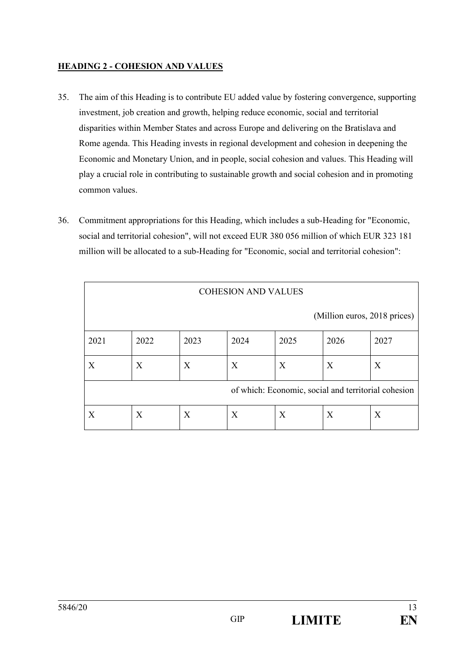## **HEADING 2 - COHESION AND VALUES**

- 35. The aim of this Heading is to contribute EU added value by fostering convergence, supporting investment, job creation and growth, helping reduce economic, social and territorial disparities within Member States and across Europe and delivering on the Bratislava and Rome agenda. This Heading invests in regional development and cohesion in deepening the Economic and Monetary Union, and in people, social cohesion and values. This Heading will play a crucial role in contributing to sustainable growth and social cohesion and in promoting common values.
- 36. Commitment appropriations for this Heading, which includes a sub-Heading for "Economic, social and territorial cohesion", will not exceed EUR 380 056 million of which EUR 323 181 million will be allocated to a sub-Heading for "Economic, social and territorial cohesion":

| <b>COHESION AND VALUES</b>                          |      |      |      |      |      |      |  |  |  |
|-----------------------------------------------------|------|------|------|------|------|------|--|--|--|
| (Million euros, 2018 prices)                        |      |      |      |      |      |      |  |  |  |
| 2021                                                | 2022 | 2023 | 2024 | 2025 | 2026 | 2027 |  |  |  |
| X                                                   | X    | X    | X    | X    | X    | X    |  |  |  |
| of which: Economic, social and territorial cohesion |      |      |      |      |      |      |  |  |  |
| X                                                   | X    | X    | X    | X    | X    | X    |  |  |  |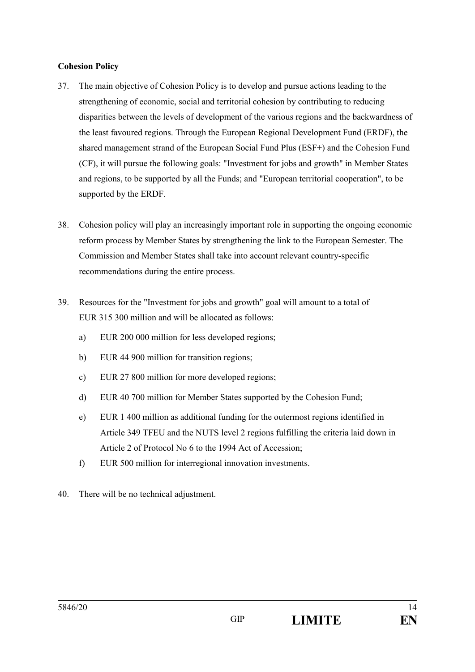#### **Cohesion Policy**

- 37. The main objective of Cohesion Policy is to develop and pursue actions leading to the strengthening of economic, social and territorial cohesion by contributing to reducing disparities between the levels of development of the various regions and the backwardness of the least favoured regions. Through the European Regional Development Fund (ERDF), the shared management strand of the European Social Fund Plus (ESF+) and the Cohesion Fund (CF), it will pursue the following goals: "Investment for jobs and growth" in Member States and regions, to be supported by all the Funds; and "European territorial cooperation", to be supported by the ERDF.
- 38. Cohesion policy will play an increasingly important role in supporting the ongoing economic reform process by Member States by strengthening the link to the European Semester. The Commission and Member States shall take into account relevant country-specific recommendations during the entire process.
- 39. Resources for the "Investment for jobs and growth" goal will amount to a total of EUR 315 300 million and will be allocated as follows:
	- a) EUR 200 000 million for less developed regions;
	- b) EUR 44 900 million for transition regions;
	- c) EUR 27 800 million for more developed regions;
	- d) EUR 40 700 million for Member States supported by the Cohesion Fund;
	- e) EUR 1 400 million as additional funding for the outermost regions identified in Article 349 TFEU and the NUTS level 2 regions fulfilling the criteria laid down in Article 2 of Protocol No 6 to the 1994 Act of Accession;
	- f) EUR 500 million for interregional innovation investments.
- 40. There will be no technical adjustment.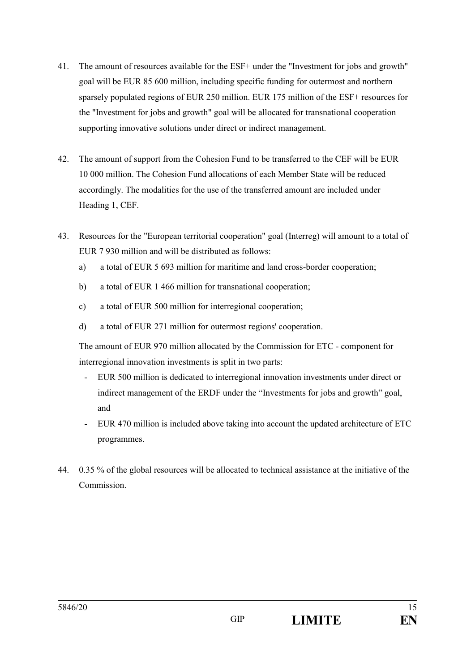- 41. The amount of resources available for the ESF+ under the "Investment for jobs and growth" goal will be EUR 85 600 million, including specific funding for outermost and northern sparsely populated regions of EUR 250 million. EUR 175 million of the ESF+ resources for the "Investment for jobs and growth" goal will be allocated for transnational cooperation supporting innovative solutions under direct or indirect management.
- 42. The amount of support from the Cohesion Fund to be transferred to the CEF will be EUR 10 000 million. The Cohesion Fund allocations of each Member State will be reduced accordingly. The modalities for the use of the transferred amount are included under Heading 1, CEF.
- 43. Resources for the "European territorial cooperation" goal (Interreg) will amount to a total of EUR 7.930 million and will be distributed as follows:
	- a) a total of EUR 5 693 million for maritime and land cross-border cooperation;
	- b) a total of EUR 1 466 million for transnational cooperation;
	- c) a total of EUR 500 million for interregional cooperation;
	- d) a total of EUR 271 million for outermost regions' cooperation.

The amount of EUR 970 million allocated by the Commission for ETC - component for interregional innovation investments is split in two parts:

- EUR 500 million is dedicated to interregional innovation investments under direct or indirect management of the ERDF under the "Investments for jobs and growth" goal, and
- EUR 470 million is included above taking into account the updated architecture of ETC programmes.
- 44. 0.35 % of the global resources will be allocated to technical assistance at the initiative of the Commission.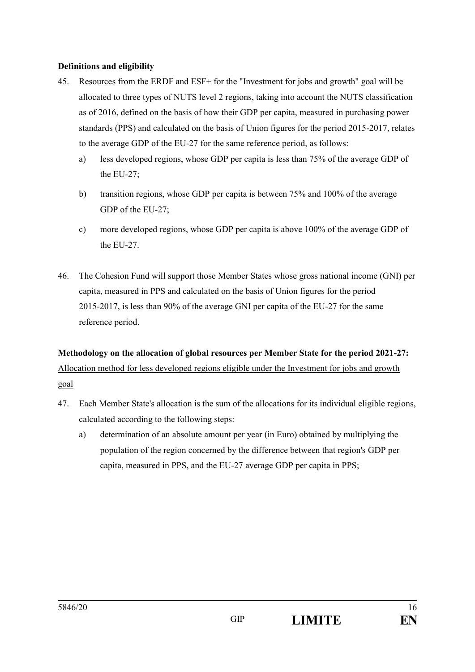## **Definitions and eligibility**

- 45. Resources from the ERDF and ESF+ for the "Investment for jobs and growth" goal will be allocated to three types of NUTS level 2 regions, taking into account the NUTS classification as of 2016, defined on the basis of how their GDP per capita, measured in purchasing power standards (PPS) and calculated on the basis of Union figures for the period 2015-2017, relates to the average GDP of the EU-27 for the same reference period, as follows:
	- a) less developed regions, whose GDP per capita is less than 75% of the average GDP of the EU-27;
	- b) transition regions, whose GDP per capita is between 75% and 100% of the average GDP of the EU-27;
	- c) more developed regions, whose GDP per capita is above 100% of the average GDP of the EU-27.
- 46. The Cohesion Fund will support those Member States whose gross national income (GNI) per capita, measured in PPS and calculated on the basis of Union figures for the period 2015-2017, is less than 90% of the average GNI per capita of the EU-27 for the same reference period.

# **Methodology on the allocation of global resources per Member State for the period 2021-27:** Allocation method for less developed regions eligible under the Investment for jobs and growth goal

- 47. Each Member State's allocation is the sum of the allocations for its individual eligible regions, calculated according to the following steps:
	- a) determination of an absolute amount per year (in Euro) obtained by multiplying the population of the region concerned by the difference between that region's GDP per capita, measured in PPS, and the EU-27 average GDP per capita in PPS;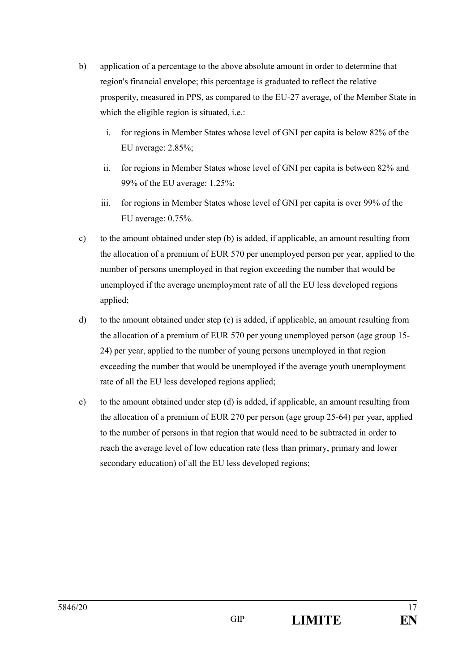- b) application of a percentage to the above absolute amount in order to determine that region's financial envelope; this percentage is graduated to reflect the relative prosperity, measured in PPS, as compared to the EU-27 average, of the Member State in which the eligible region is situated, i.e.:
	- i. for regions in Member States whose level of GNI per capita is below 82% of the EU average: 2.85%;
	- ii. for regions in Member States whose level of GNI per capita is between 82% and 99% of the EU average: 1.25%;
	- iii. for regions in Member States whose level of GNI per capita is over 99% of the EU average: 0.75%.
- c) to the amount obtained under step (b) is added, if applicable, an amount resulting from the allocation of a premium of EUR 570 per unemployed person per year, applied to the number of persons unemployed in that region exceeding the number that would be unemployed if the average unemployment rate of all the EU less developed regions applied;
- d) to the amount obtained under step  $(c)$  is added, if applicable, an amount resulting from the allocation of a premium of EUR 570 per young unemployed person (age group 15- 24) per year, applied to the number of young persons unemployed in that region exceeding the number that would be unemployed if the average youth unemployment rate of all the EU less developed regions applied;
- e) to the amount obtained under step (d) is added, if applicable, an amount resulting from the allocation of a premium of EUR 270 per person (age group 25-64) per year, applied to the number of persons in that region that would need to be subtracted in order to reach the average level of low education rate (less than primary, primary and lower secondary education) of all the EU less developed regions;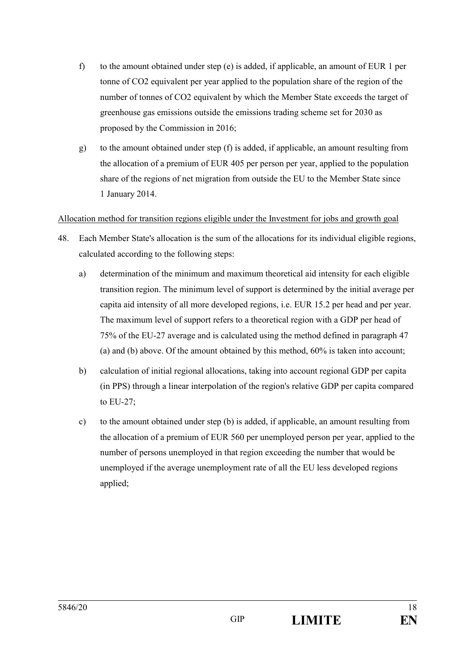- f) to the amount obtained under step (e) is added, if applicable, an amount of EUR 1 per tonne of CO2 equivalent per year applied to the population share of the region of the number of tonnes of CO2 equivalent by which the Member State exceeds the target of greenhouse gas emissions outside the emissions trading scheme set for 2030 as proposed by the Commission in 2016;
- g) to the amount obtained under step (f) is added, if applicable, an amount resulting from the allocation of a premium of EUR 405 per person per year, applied to the population share of the regions of net migration from outside the EU to the Member State since 1 January 2014.

## Allocation method for transition regions eligible under the Investment for jobs and growth goal

- 48. Each Member State's allocation is the sum of the allocations for its individual eligible regions, calculated according to the following steps:
	- a) determination of the minimum and maximum theoretical aid intensity for each eligible transition region. The minimum level of support is determined by the initial average per capita aid intensity of all more developed regions, i.e. EUR 15.2 per head and per year. The maximum level of support refers to a theoretical region with a GDP per head of 75% of the EU-27 average and is calculated using the method defined in paragraph 47 (a) and (b) above. Of the amount obtained by this method, 60% is taken into account;
	- b) calculation of initial regional allocations, taking into account regional GDP per capita (in PPS) through a linear interpolation of the region's relative GDP per capita compared to EU-27;
	- c) to the amount obtained under step (b) is added, if applicable, an amount resulting from the allocation of a premium of EUR 560 per unemployed person per year, applied to the number of persons unemployed in that region exceeding the number that would be unemployed if the average unemployment rate of all the EU less developed regions applied;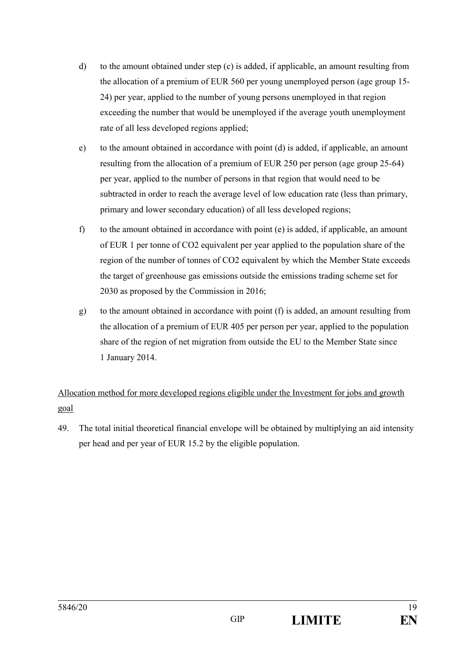- d) to the amount obtained under step (c) is added, if applicable, an amount resulting from the allocation of a premium of EUR 560 per young unemployed person (age group 15- 24) per year, applied to the number of young persons unemployed in that region exceeding the number that would be unemployed if the average youth unemployment rate of all less developed regions applied;
- e) to the amount obtained in accordance with point (d) is added, if applicable, an amount resulting from the allocation of a premium of EUR 250 per person (age group 25-64) per year, applied to the number of persons in that region that would need to be subtracted in order to reach the average level of low education rate (less than primary, primary and lower secondary education) of all less developed regions;
- f) to the amount obtained in accordance with point (e) is added, if applicable, an amount of EUR 1 per tonne of CO2 equivalent per year applied to the population share of the region of the number of tonnes of CO2 equivalent by which the Member State exceeds the target of greenhouse gas emissions outside the emissions trading scheme set for 2030 as proposed by the Commission in 2016;
- g) to the amount obtained in accordance with point (f) is added, an amount resulting from the allocation of a premium of EUR 405 per person per year, applied to the population share of the region of net migration from outside the EU to the Member State since 1 January 2014.

# Allocation method for more developed regions eligible under the Investment for jobs and growth goal

49. The total initial theoretical financial envelope will be obtained by multiplying an aid intensity per head and per year of EUR 15.2 by the eligible population.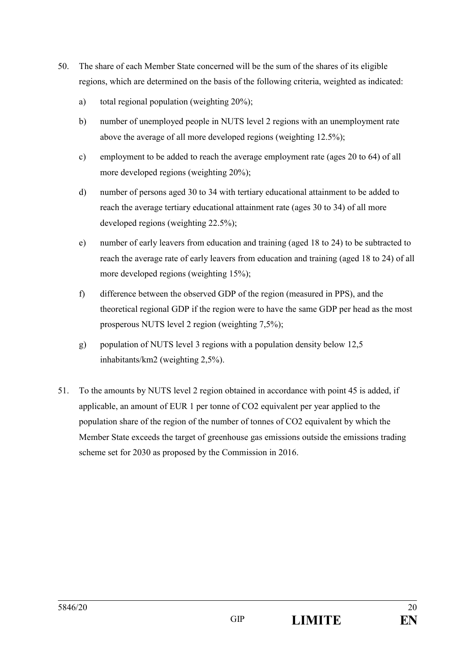- 50. The share of each Member State concerned will be the sum of the shares of its eligible regions, which are determined on the basis of the following criteria, weighted as indicated:
	- a) total regional population (weighting 20%);
	- b) number of unemployed people in NUTS level 2 regions with an unemployment rate above the average of all more developed regions (weighting 12.5%);
	- c) employment to be added to reach the average employment rate (ages 20 to 64) of all more developed regions (weighting 20%);
	- d) number of persons aged 30 to 34 with tertiary educational attainment to be added to reach the average tertiary educational attainment rate (ages 30 to 34) of all more developed regions (weighting 22.5%);
	- e) number of early leavers from education and training (aged 18 to 24) to be subtracted to reach the average rate of early leavers from education and training (aged 18 to 24) of all more developed regions (weighting 15%);
	- f) difference between the observed GDP of the region (measured in PPS), and the theoretical regional GDP if the region were to have the same GDP per head as the most prosperous NUTS level 2 region (weighting 7,5%);
	- g) population of NUTS level 3 regions with a population density below 12,5 inhabitants/km2 (weighting 2,5%).
- 51. To the amounts by NUTS level 2 region obtained in accordance with point 45 is added, if applicable, an amount of EUR 1 per tonne of CO2 equivalent per year applied to the population share of the region of the number of tonnes of CO2 equivalent by which the Member State exceeds the target of greenhouse gas emissions outside the emissions trading scheme set for 2030 as proposed by the Commission in 2016.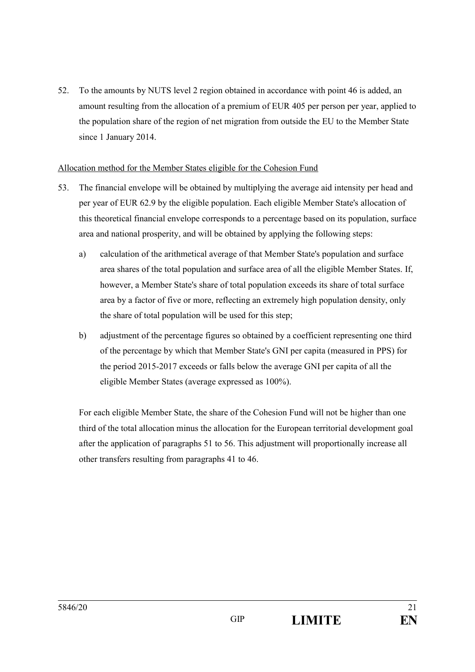52. To the amounts by NUTS level 2 region obtained in accordance with point 46 is added, an amount resulting from the allocation of a premium of EUR 405 per person per year, applied to the population share of the region of net migration from outside the EU to the Member State since 1 January 2014.

#### Allocation method for the Member States eligible for the Cohesion Fund

- 53. The financial envelope will be obtained by multiplying the average aid intensity per head and per year of EUR 62.9 by the eligible population. Each eligible Member State's allocation of this theoretical financial envelope corresponds to a percentage based on its population, surface area and national prosperity, and will be obtained by applying the following steps:
	- a) calculation of the arithmetical average of that Member State's population and surface area shares of the total population and surface area of all the eligible Member States. If, however, a Member State's share of total population exceeds its share of total surface area by a factor of five or more, reflecting an extremely high population density, only the share of total population will be used for this step;
	- b) adjustment of the percentage figures so obtained by a coefficient representing one third of the percentage by which that Member State's GNI per capita (measured in PPS) for the period 2015-2017 exceeds or falls below the average GNI per capita of all the eligible Member States (average expressed as 100%).

For each eligible Member State, the share of the Cohesion Fund will not be higher than one third of the total allocation minus the allocation for the European territorial development goal after the application of paragraphs 51 to 56. This adjustment will proportionally increase all other transfers resulting from paragraphs 41 to 46.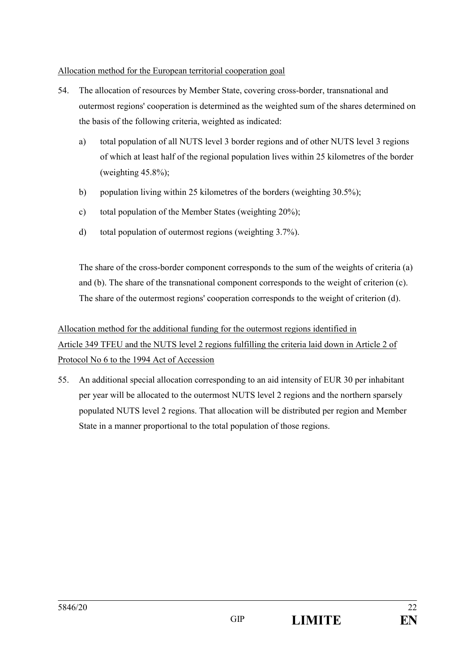## Allocation method for the European territorial cooperation goal

- 54. The allocation of resources by Member State, covering cross-border, transnational and outermost regions' cooperation is determined as the weighted sum of the shares determined on the basis of the following criteria, weighted as indicated:
	- a) total population of all NUTS level 3 border regions and of other NUTS level 3 regions of which at least half of the regional population lives within 25 kilometres of the border (weighting  $45.8\%$ );
	- b) population living within 25 kilometres of the borders (weighting 30.5%);
	- c) total population of the Member States (weighting 20%);
	- d) total population of outermost regions (weighting 3.7%).

The share of the cross-border component corresponds to the sum of the weights of criteria (a) and (b). The share of the transnational component corresponds to the weight of criterion (c). The share of the outermost regions' cooperation corresponds to the weight of criterion (d).

# Allocation method for the additional funding for the outermost regions identified in Article 349 TFEU and the NUTS level 2 regions fulfilling the criteria laid down in Article 2 of Protocol No 6 to the 1994 Act of Accession

55. An additional special allocation corresponding to an aid intensity of EUR 30 per inhabitant per year will be allocated to the outermost NUTS level 2 regions and the northern sparsely populated NUTS level 2 regions. That allocation will be distributed per region and Member State in a manner proportional to the total population of those regions.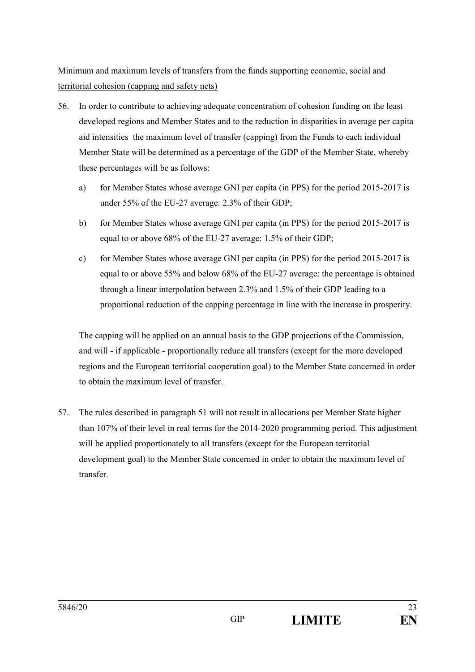Minimum and maximum levels of transfers from the funds supporting economic, social and territorial cohesion (capping and safety nets)

- 56. In order to contribute to achieving adequate concentration of cohesion funding on the least developed regions and Member States and to the reduction in disparities in average per capita aid intensities the maximum level of transfer (capping) from the Funds to each individual Member State will be determined as a percentage of the GDP of the Member State, whereby these percentages will be as follows:
	- a) for Member States whose average GNI per capita (in PPS) for the period 2015-2017 is under 55% of the EU-27 average: 2.3% of their GDP;
	- b) for Member States whose average GNI per capita (in PPS) for the period 2015-2017 is equal to or above 68% of the EU-27 average: 1.5% of their GDP;
	- c) for Member States whose average GNI per capita (in PPS) for the period 2015-2017 is equal to or above 55% and below 68% of the EU-27 average: the percentage is obtained through a linear interpolation between 2.3% and 1.5% of their GDP leading to a proportional reduction of the capping percentage in line with the increase in prosperity.

The capping will be applied on an annual basis to the GDP projections of the Commission, and will - if applicable - proportionally reduce all transfers (except for the more developed regions and the European territorial cooperation goal) to the Member State concerned in order to obtain the maximum level of transfer.

57. The rules described in paragraph 51 will not result in allocations per Member State higher than 107% of their level in real terms for the 2014-2020 programming period. This adjustment will be applied proportionately to all transfers (except for the European territorial development goal) to the Member State concerned in order to obtain the maximum level of transfer.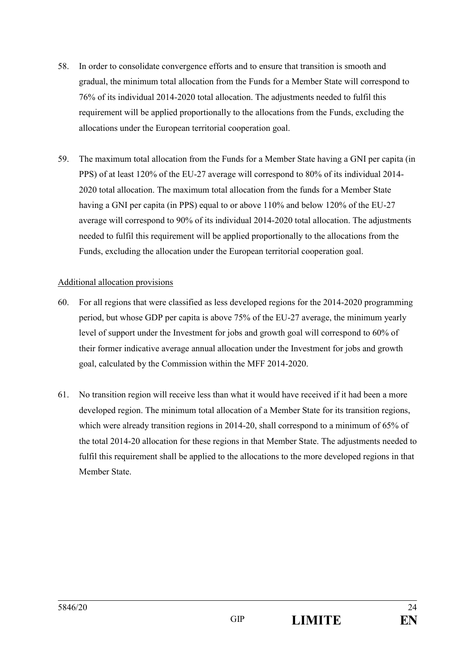- 58. In order to consolidate convergence efforts and to ensure that transition is smooth and gradual, the minimum total allocation from the Funds for a Member State will correspond to 76% of its individual 2014-2020 total allocation. The adjustments needed to fulfil this requirement will be applied proportionally to the allocations from the Funds, excluding the allocations under the European territorial cooperation goal.
- 59. The maximum total allocation from the Funds for a Member State having a GNI per capita (in PPS) of at least 120% of the EU-27 average will correspond to 80% of its individual 2014- 2020 total allocation. The maximum total allocation from the funds for a Member State having a GNI per capita (in PPS) equal to or above 110% and below 120% of the EU-27 average will correspond to 90% of its individual 2014-2020 total allocation. The adjustments needed to fulfil this requirement will be applied proportionally to the allocations from the Funds, excluding the allocation under the European territorial cooperation goal.

## Additional allocation provisions

- 60. For all regions that were classified as less developed regions for the 2014-2020 programming period, but whose GDP per capita is above 75% of the EU-27 average, the minimum yearly level of support under the Investment for jobs and growth goal will correspond to 60% of their former indicative average annual allocation under the Investment for jobs and growth goal, calculated by the Commission within the MFF 2014-2020.
- 61. No transition region will receive less than what it would have received if it had been a more developed region. The minimum total allocation of a Member State for its transition regions, which were already transition regions in 2014-20, shall correspond to a minimum of 65% of the total 2014-20 allocation for these regions in that Member State. The adjustments needed to fulfil this requirement shall be applied to the allocations to the more developed regions in that Member State.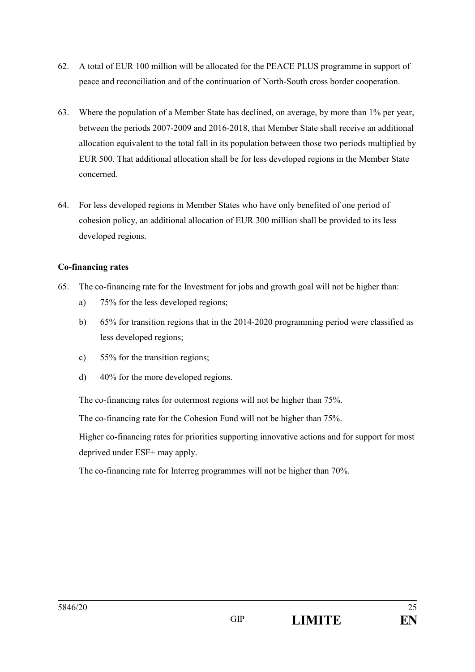- 62. A total of EUR 100 million will be allocated for the PEACE PLUS programme in support of peace and reconciliation and of the continuation of North-South cross border cooperation.
- 63. Where the population of a Member State has declined, on average, by more than 1% per year, between the periods 2007-2009 and 2016-2018, that Member State shall receive an additional allocation equivalent to the total fall in its population between those two periods multiplied by EUR 500. That additional allocation shall be for less developed regions in the Member State concerned.
- 64. For less developed regions in Member States who have only benefited of one period of cohesion policy, an additional allocation of EUR 300 million shall be provided to its less developed regions.

## **Co-financing rates**

- 65. The co-financing rate for the Investment for jobs and growth goal will not be higher than:
	- a) 75% for the less developed regions;
	- b) 65% for transition regions that in the 2014-2020 programming period were classified as less developed regions;
	- c) 55% for the transition regions;
	- d) 40% for the more developed regions.

The co-financing rates for outermost regions will not be higher than 75%.

The co-financing rate for the Cohesion Fund will not be higher than 75%.

Higher co-financing rates for priorities supporting innovative actions and for support for most deprived under ESF+ may apply.

The co-financing rate for Interreg programmes will not be higher than 70%.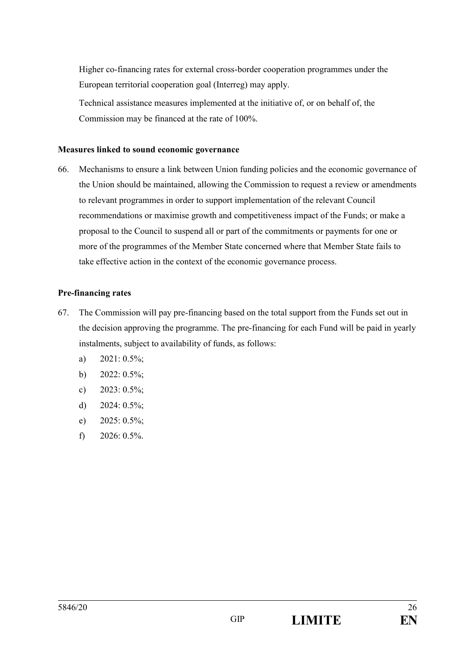Higher co-financing rates for external cross-border cooperation programmes under the European territorial cooperation goal (Interreg) may apply.

Technical assistance measures implemented at the initiative of, or on behalf of, the Commission may be financed at the rate of 100%.

#### **Measures linked to sound economic governance**

66. Mechanisms to ensure a link between Union funding policies and the economic governance of the Union should be maintained, allowing the Commission to request a review or amendments to relevant programmes in order to support implementation of the relevant Council recommendations or maximise growth and competitiveness impact of the Funds; or make a proposal to the Council to suspend all or part of the commitments or payments for one or more of the programmes of the Member State concerned where that Member State fails to take effective action in the context of the economic governance process.

#### **Pre-financing rates**

- 67. The Commission will pay pre-financing based on the total support from the Funds set out in the decision approving the programme. The pre-financing for each Fund will be paid in yearly instalments, subject to availability of funds, as follows:
	- a) 2021: 0.5%;
	- b)  $2022: 0.5\%$ ;
	- c)  $2023: 0.5\%$ ;
	- d) 2024: 0.5%;
	- e) 2025: 0.5%;
	- f)  $2026: 0.5\%$ .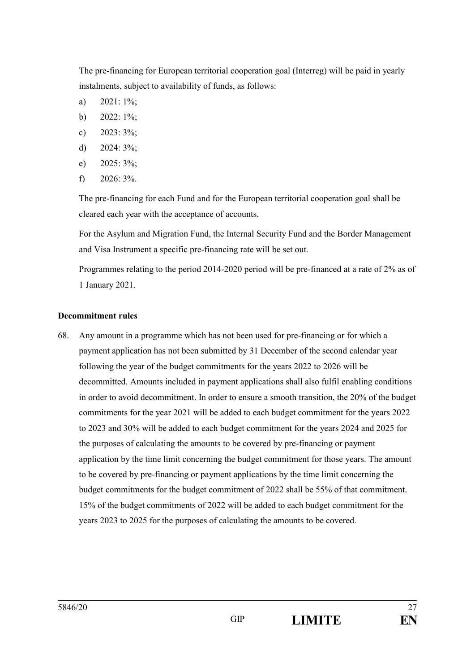The pre-financing for European territorial cooperation goal (Interreg) will be paid in yearly instalments, subject to availability of funds, as follows:

- a)  $2021:1\%$ ;
- b)  $2022:1\%$ ;
- c)  $2023:3\%$ ;
- d)  $2024:3\%$ ;
- e) 2025: 3%;
- f)  $2026:3\%$ .

The pre-financing for each Fund and for the European territorial cooperation goal shall be cleared each year with the acceptance of accounts.

For the Asylum and Migration Fund, the Internal Security Fund and the Border Management and Visa Instrument a specific pre-financing rate will be set out.

Programmes relating to the period 2014-2020 period will be pre-financed at a rate of 2% as of 1 January 2021.

## **Decommitment rules**

68. Any amount in a programme which has not been used for pre-financing or for which a payment application has not been submitted by 31 December of the second calendar year following the year of the budget commitments for the years 2022 to 2026 will be decommitted. Amounts included in payment applications shall also fulfil enabling conditions in order to avoid decommitment. In order to ensure a smooth transition, the 20% of the budget commitments for the year 2021 will be added to each budget commitment for the years 2022 to 2023 and 30% will be added to each budget commitment for the years 2024 and 2025 for the purposes of calculating the amounts to be covered by pre-financing or payment application by the time limit concerning the budget commitment for those years. The amount to be covered by pre-financing or payment applications by the time limit concerning the budget commitments for the budget commitment of 2022 shall be 55% of that commitment. 15% of the budget commitments of 2022 will be added to each budget commitment for the years 2023 to 2025 for the purposes of calculating the amounts to be covered.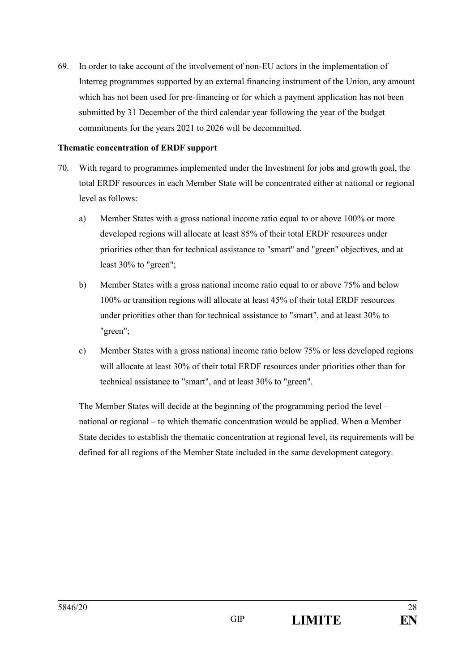69. In order to take account of the involvement of non-EU actors in the implementation of Interreg programmes supported by an external financing instrument of the Union, any amount which has not been used for pre-financing or for which a payment application has not been submitted by 31 December of the third calendar year following the year of the budget commitments for the years 2021 to 2026 will be decommitted.

#### **Thematic concentration of ERDF support**

- 70. With regard to programmes implemented under the Investment for jobs and growth goal, the total ERDF resources in each Member State will be concentrated either at national or regional level as follows:
	- a) Member States with a gross national income ratio equal to or above 100% or more developed regions will allocate at least 85% of their total ERDF resources under priorities other than for technical assistance to "smart" and "green" objectives, and at least 30% to "green";
	- b) Member States with a gross national income ratio equal to or above 75% and below 100% or transition regions will allocate at least 45% of their total ERDF resources under priorities other than for technical assistance to "smart", and at least 30% to "green";
	- c) Member States with a gross national income ratio below 75% or less developed regions will allocate at least 30% of their total ERDF resources under priorities other than for technical assistance to "smart", and at least 30% to "green".

The Member States will decide at the beginning of the programming period the level – national or regional – to which thematic concentration would be applied. When a Member State decides to establish the thematic concentration at regional level, its requirements will be defined for all regions of the Member State included in the same development category.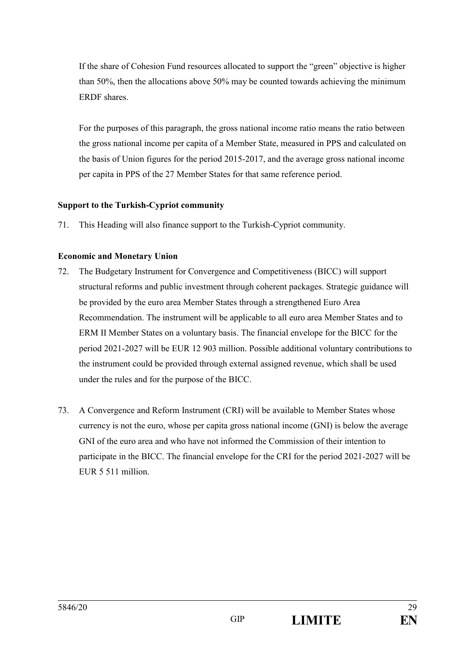If the share of Cohesion Fund resources allocated to support the "green" objective is higher than 50%, then the allocations above 50% may be counted towards achieving the minimum ERDF shares.

For the purposes of this paragraph, the gross national income ratio means the ratio between the gross national income per capita of a Member State, measured in PPS and calculated on the basis of Union figures for the period 2015-2017, and the average gross national income per capita in PPS of the 27 Member States for that same reference period.

## **Support to the Turkish-Cypriot community**

71. This Heading will also finance support to the Turkish-Cypriot community.

## **Economic and Monetary Union**

- 72. The Budgetary Instrument for Convergence and Competitiveness (BICC) will support structural reforms and public investment through coherent packages. Strategic guidance will be provided by the euro area Member States through a strengthened Euro Area Recommendation. The instrument will be applicable to all euro area Member States and to ERM II Member States on a voluntary basis. The financial envelope for the BICC for the period 2021-2027 will be EUR 12 903 million. Possible additional voluntary contributions to the instrument could be provided through external assigned revenue, which shall be used under the rules and for the purpose of the BICC.
- 73. A Convergence and Reform Instrument (CRI) will be available to Member States whose currency is not the euro, whose per capita gross national income (GNI) is below the average GNI of the euro area and who have not informed the Commission of their intention to participate in the BICC. The financial envelope for the CRI for the period 2021-2027 will be EUR 5 511 million.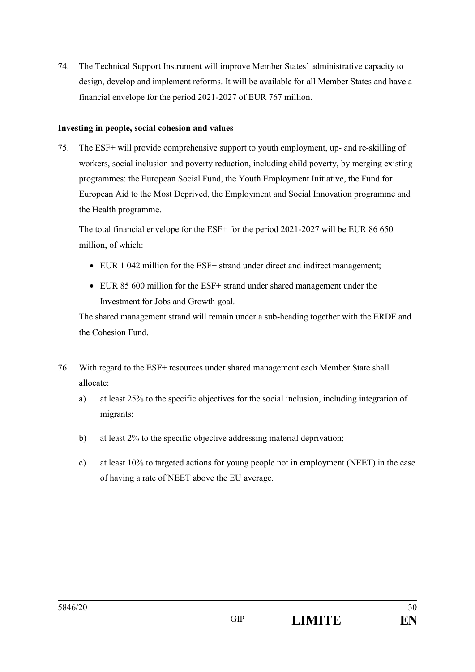74. The Technical Support Instrument will improve Member States' administrative capacity to design, develop and implement reforms. It will be available for all Member States and have a financial envelope for the period 2021-2027 of EUR 767 million.

## **Investing in people, social cohesion and values**

75. The ESF+ will provide comprehensive support to youth employment, up- and re-skilling of workers, social inclusion and poverty reduction, including child poverty, by merging existing programmes: the European Social Fund, the Youth Employment Initiative, the Fund for European Aid to the Most Deprived, the Employment and Social Innovation programme and the Health programme.

The total financial envelope for the ESF+ for the period 2021-2027 will be EUR 86 650 million, of which:

- EUR 1 042 million for the ESF+ strand under direct and indirect management;
- EUR 85 600 million for the ESF+ strand under shared management under the Investment for Jobs and Growth goal.

The shared management strand will remain under a sub-heading together with the ERDF and the Cohesion Fund.

- 76. With regard to the ESF+ resources under shared management each Member State shall allocate:
	- a) at least 25% to the specific objectives for the social inclusion, including integration of migrants;
	- b) at least 2% to the specific objective addressing material deprivation;
	- c) at least 10% to targeted actions for young people not in employment (NEET) in the case of having a rate of NEET above the EU average.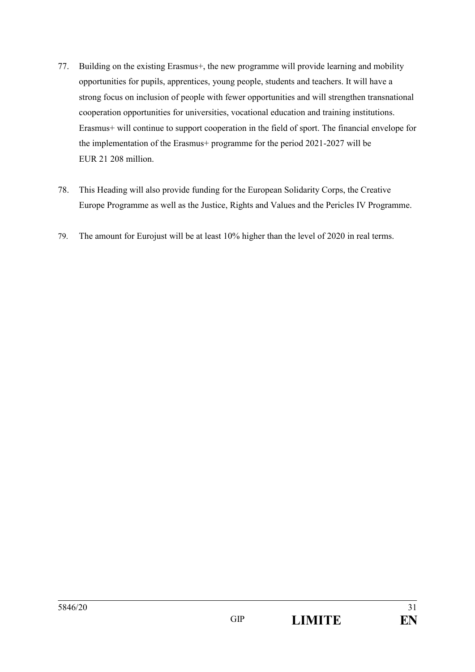- 77. Building on the existing Erasmus+, the new programme will provide learning and mobility opportunities for pupils, apprentices, young people, students and teachers. It will have a strong focus on inclusion of people with fewer opportunities and will strengthen transnational cooperation opportunities for universities, vocational education and training institutions. Erasmus+ will continue to support cooperation in the field of sport. The financial envelope for the implementation of the Erasmus+ programme for the period 2021-2027 will be EUR 21 208 million.
- 78. This Heading will also provide funding for the European Solidarity Corps, the Creative Europe Programme as well as the Justice, Rights and Values and the Pericles IV Programme.
- 79. The amount for Eurojust will be at least 10% higher than the level of 2020 in real terms.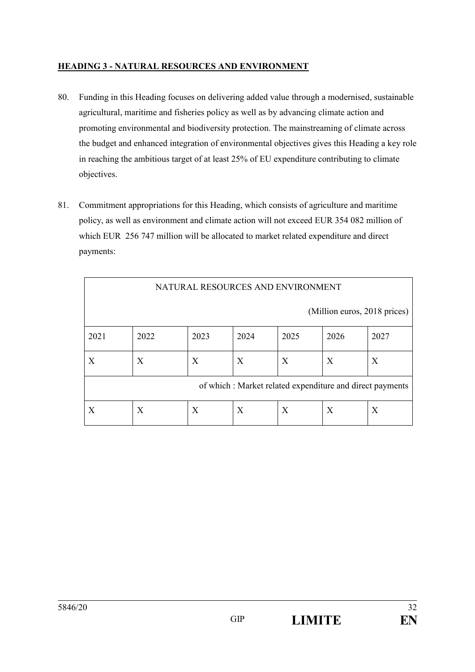## **HEADING 3 - NATURAL RESOURCES AND ENVIRONMENT**

- 80. Funding in this Heading focuses on delivering added value through a modernised, sustainable agricultural, maritime and fisheries policy as well as by advancing climate action and promoting environmental and biodiversity protection. The mainstreaming of climate across the budget and enhanced integration of environmental objectives gives this Heading a key role in reaching the ambitious target of at least 25% of EU expenditure contributing to climate objectives.
- 81. Commitment appropriations for this Heading, which consists of agriculture and maritime policy, as well as environment and climate action will not exceed EUR 354 082 million of which EUR 256 747 million will be allocated to market related expenditure and direct payments:

| NATURAL RESOURCES AND ENVIRONMENT                        |      |      |      |      |      |      |  |  |
|----------------------------------------------------------|------|------|------|------|------|------|--|--|
| (Million euros, 2018 prices)                             |      |      |      |      |      |      |  |  |
| 2021                                                     | 2022 | 2023 | 2024 | 2025 | 2026 | 2027 |  |  |
| Χ                                                        | X    | X    | X    | X    | X    | X    |  |  |
| of which: Market related expenditure and direct payments |      |      |      |      |      |      |  |  |
| X                                                        | X    | X    | X    | Χ    | X    | X    |  |  |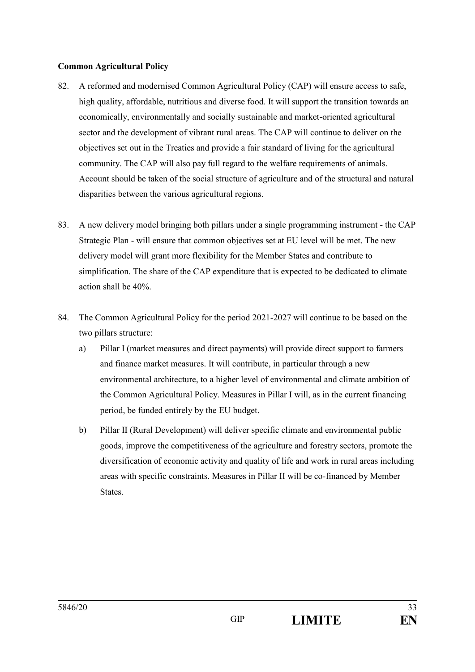#### **Common Agricultural Policy**

- 82. A reformed and modernised Common Agricultural Policy (CAP) will ensure access to safe, high quality, affordable, nutritious and diverse food. It will support the transition towards an economically, environmentally and socially sustainable and market-oriented agricultural sector and the development of vibrant rural areas. The CAP will continue to deliver on the objectives set out in the Treaties and provide a fair standard of living for the agricultural community. The CAP will also pay full regard to the welfare requirements of animals. Account should be taken of the social structure of agriculture and of the structural and natural disparities between the various agricultural regions.
- 83. A new delivery model bringing both pillars under a single programming instrument the CAP Strategic Plan - will ensure that common objectives set at EU level will be met. The new delivery model will grant more flexibility for the Member States and contribute to simplification. The share of the CAP expenditure that is expected to be dedicated to climate action shall be 40%.
- 84. The Common Agricultural Policy for the period 2021-2027 will continue to be based on the two pillars structure:
	- a) Pillar I (market measures and direct payments) will provide direct support to farmers and finance market measures. It will contribute, in particular through a new environmental architecture, to a higher level of environmental and climate ambition of the Common Agricultural Policy. Measures in Pillar I will, as in the current financing period, be funded entirely by the EU budget.
	- b) Pillar II (Rural Development) will deliver specific climate and environmental public goods, improve the competitiveness of the agriculture and forestry sectors, promote the diversification of economic activity and quality of life and work in rural areas including areas with specific constraints. Measures in Pillar II will be co-financed by Member States.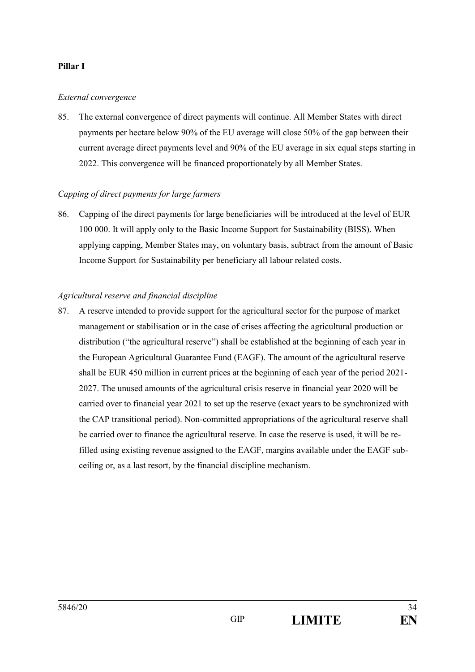#### **Pillar I**

#### *External convergence*

85. The external convergence of direct payments will continue. All Member States with direct payments per hectare below 90% of the EU average will close 50% of the gap between their current average direct payments level and 90% of the EU average in six equal steps starting in 2022. This convergence will be financed proportionately by all Member States.

#### *Capping of direct payments for large farmers*

86. Capping of the direct payments for large beneficiaries will be introduced at the level of EUR 100 000. It will apply only to the Basic Income Support for Sustainability (BISS). When applying capping, Member States may, on voluntary basis, subtract from the amount of Basic Income Support for Sustainability per beneficiary all labour related costs.

#### *Agricultural reserve and financial discipline*

87. A reserve intended to provide support for the agricultural sector for the purpose of market management or stabilisation or in the case of crises affecting the agricultural production or distribution ("the agricultural reserve") shall be established at the beginning of each year in the European Agricultural Guarantee Fund (EAGF). The amount of the agricultural reserve shall be EUR 450 million in current prices at the beginning of each year of the period 2021- 2027. The unused amounts of the agricultural crisis reserve in financial year 2020 will be carried over to financial year 2021 to set up the reserve (exact years to be synchronized with the CAP transitional period). Non-committed appropriations of the agricultural reserve shall be carried over to finance the agricultural reserve. In case the reserve is used, it will be refilled using existing revenue assigned to the EAGF, margins available under the EAGF subceiling or, as a last resort, by the financial discipline mechanism.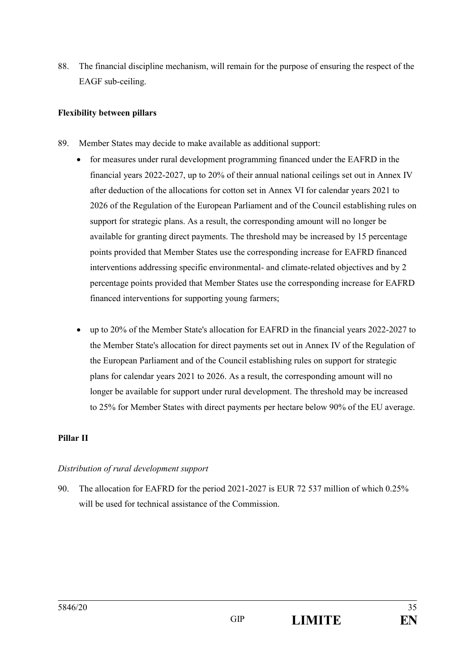88. The financial discipline mechanism, will remain for the purpose of ensuring the respect of the EAGF sub-ceiling.

## **Flexibility between pillars**

- 89. Member States may decide to make available as additional support:
	- for measures under rural development programming financed under the EAFRD in the financial years 2022-2027, up to 20% of their annual national ceilings set out in Annex IV after deduction of the allocations for cotton set in Annex VI for calendar years 2021 to 2026 of the Regulation of the European Parliament and of the Council establishing rules on support for strategic plans. As a result, the corresponding amount will no longer be available for granting direct payments. The threshold may be increased by 15 percentage points provided that Member States use the corresponding increase for EAFRD financed interventions addressing specific environmental- and climate-related objectives and by 2 percentage points provided that Member States use the corresponding increase for EAFRD financed interventions for supporting young farmers;
	- up to 20% of the Member State's allocation for EAFRD in the financial years 2022-2027 to the Member State's allocation for direct payments set out in Annex IV of the Regulation of the European Parliament and of the Council establishing rules on support for strategic plans for calendar years 2021 to 2026. As a result, the corresponding amount will no longer be available for support under rural development. The threshold may be increased to 25% for Member States with direct payments per hectare below 90% of the EU average.

#### **Pillar II**

#### *Distribution of rural development support*

90. The allocation for EAFRD for the period 2021-2027 is EUR 72 537 million of which 0.25% will be used for technical assistance of the Commission.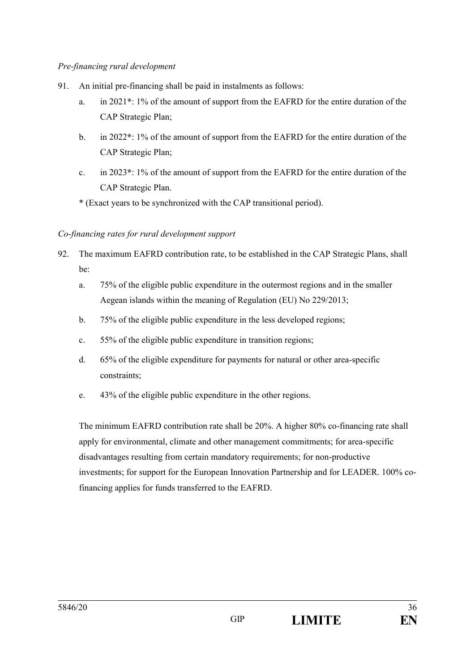## *Pre-financing rural development*

- 91. An initial pre-financing shall be paid in instalments as follows:
	- a. in 2021**\***: 1% of the amount of support from the EAFRD for the entire duration of the CAP Strategic Plan;
	- b. in 2022**\***: 1% of the amount of support from the EAFRD for the entire duration of the CAP Strategic Plan;
	- c. in 2023**\***: 1% of the amount of support from the EAFRD for the entire duration of the CAP Strategic Plan.
	- \* (Exact years to be synchronized with the CAP transitional period).

## *Co-financing rates for rural development support*

- 92. The maximum EAFRD contribution rate, to be established in the CAP Strategic Plans, shall be:
	- a. 75% of the eligible public expenditure in the outermost regions and in the smaller Aegean islands within the meaning of Regulation (EU) No 229/2013;
	- b. 75% of the eligible public expenditure in the less developed regions;
	- c. 55% of the eligible public expenditure in transition regions;
	- d. 65% of the eligible expenditure for payments for natural or other area-specific constraints;
	- e. 43% of the eligible public expenditure in the other regions.

The minimum EAFRD contribution rate shall be 20%. A higher 80% co-financing rate shall apply for environmental, climate and other management commitments; for area-specific disadvantages resulting from certain mandatory requirements; for non-productive investments; for support for the European Innovation Partnership and for LEADER. 100% cofinancing applies for funds transferred to the EAFRD.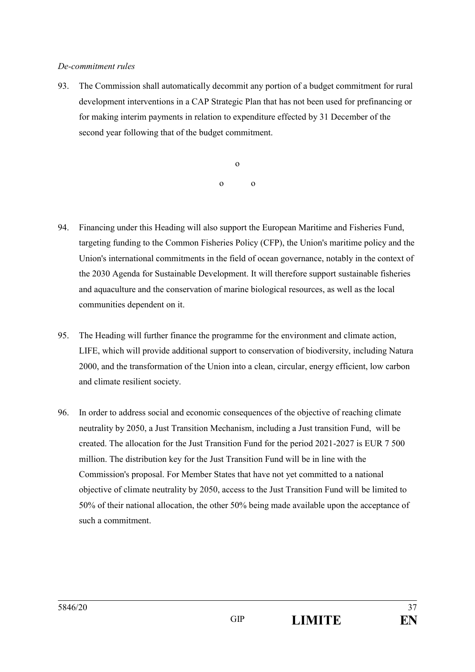#### *De-commitment rules*

93. The Commission shall automatically decommit any portion of a budget commitment for rural development interventions in a CAP Strategic Plan that has not been used for prefinancing or for making interim payments in relation to expenditure effected by 31 December of the second year following that of the budget commitment.

> o o o

- 94. Financing under this Heading will also support the European Maritime and Fisheries Fund, targeting funding to the Common Fisheries Policy (CFP), the Union's maritime policy and the Union's international commitments in the field of ocean governance, notably in the context of the 2030 Agenda for Sustainable Development. It will therefore support sustainable fisheries and aquaculture and the conservation of marine biological resources, as well as the local communities dependent on it.
- 95. The Heading will further finance the programme for the environment and climate action, LIFE, which will provide additional support to conservation of biodiversity, including Natura 2000, and the transformation of the Union into a clean, circular, energy efficient, low carbon and climate resilient society.
- 96. In order to address social and economic consequences of the objective of reaching climate neutrality by 2050, a Just Transition Mechanism, including a Just transition Fund, will be created. The allocation for the Just Transition Fund for the period 2021-2027 is EUR 7 500 million. The distribution key for the Just Transition Fund will be in line with the Commission's proposal. For Member States that have not yet committed to a national objective of climate neutrality by 2050, access to the Just Transition Fund will be limited to 50% of their national allocation, the other 50% being made available upon the acceptance of such a commitment.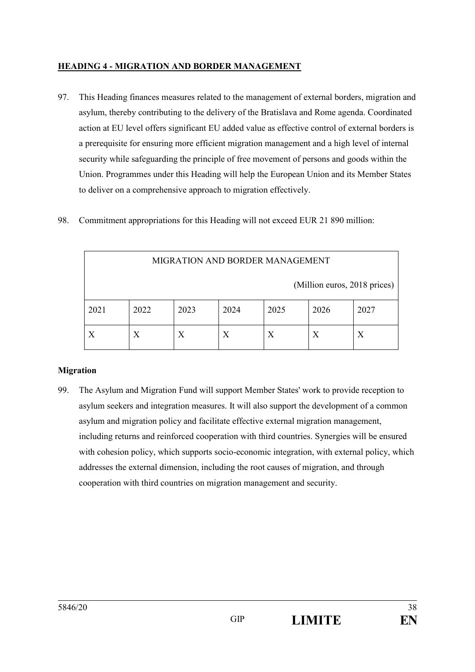## **HEADING 4 - MIGRATION AND BORDER MANAGEMENT**

- 97. This Heading finances measures related to the management of external borders, migration and asylum, thereby contributing to the delivery of the Bratislava and Rome agenda. Coordinated action at EU level offers significant EU added value as effective control of external borders is a prerequisite for ensuring more efficient migration management and a high level of internal security while safeguarding the principle of free movement of persons and goods within the Union. Programmes under this Heading will help the European Union and its Member States to deliver on a comprehensive approach to migration effectively.
- 98. Commitment appropriations for this Heading will not exceed EUR 21 890 million:

| MIGRATION AND BORDER MANAGEMENT |      |      |      |      |      |      |  |  |
|---------------------------------|------|------|------|------|------|------|--|--|
| (Million euros, 2018 prices)    |      |      |      |      |      |      |  |  |
| 2021                            | 2022 | 2023 | 2024 | 2025 | 2026 | 2027 |  |  |
|                                 | Х    |      | X    | X    |      |      |  |  |

#### **Migration**

99. The Asylum and Migration Fund will support Member States' work to provide reception to asylum seekers and integration measures. It will also support the development of a common asylum and migration policy and facilitate effective external migration management, including returns and reinforced cooperation with third countries. Synergies will be ensured with cohesion policy, which supports socio-economic integration, with external policy, which addresses the external dimension, including the root causes of migration, and through cooperation with third countries on migration management and security.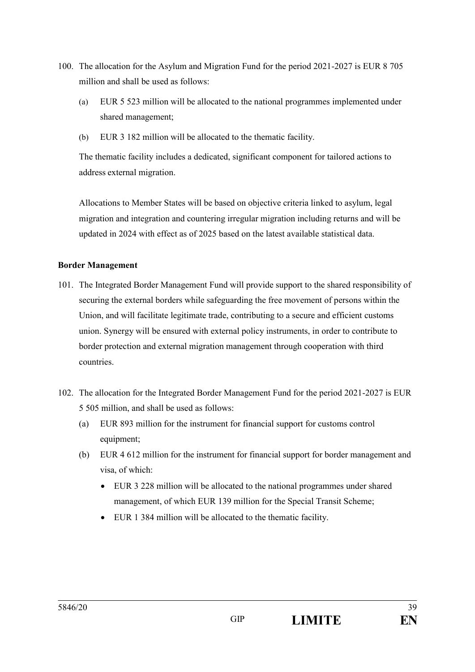- 100. The allocation for the Asylum and Migration Fund for the period 2021-2027 is EUR 8 705 million and shall be used as follows:
	- (a) EUR 5 523 million will be allocated to the national programmes implemented under shared management;
	- (b) EUR 3 182 million will be allocated to the thematic facility.

The thematic facility includes a dedicated, significant component for tailored actions to address external migration.

Allocations to Member States will be based on objective criteria linked to asylum, legal migration and integration and countering irregular migration including returns and will be updated in 2024 with effect as of 2025 based on the latest available statistical data.

## **Border Management**

- 101. The Integrated Border Management Fund will provide support to the shared responsibility of securing the external borders while safeguarding the free movement of persons within the Union, and will facilitate legitimate trade, contributing to a secure and efficient customs union. Synergy will be ensured with external policy instruments, in order to contribute to border protection and external migration management through cooperation with third countries.
- 102. The allocation for the Integrated Border Management Fund for the period 2021-2027 is EUR 5 505 million, and shall be used as follows:
	- (a) EUR 893 million for the instrument for financial support for customs control equipment;
	- (b) EUR 4 612 million for the instrument for financial support for border management and visa, of which:
		- $\bullet$  EUR 3 228 million will be allocated to the national programmes under shared management, of which EUR 139 million for the Special Transit Scheme;
		- $\bullet$  EUR 1 384 million will be allocated to the thematic facility.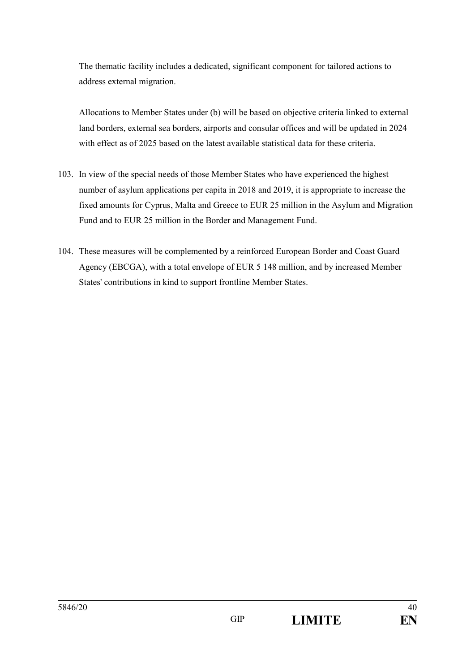The thematic facility includes a dedicated, significant component for tailored actions to address external migration.

Allocations to Member States under (b) will be based on objective criteria linked to external land borders, external sea borders, airports and consular offices and will be updated in 2024 with effect as of 2025 based on the latest available statistical data for these criteria.

- 103. In view of the special needs of those Member States who have experienced the highest number of asylum applications per capita in 2018 and 2019, it is appropriate to increase the fixed amounts for Cyprus, Malta and Greece to EUR 25 million in the Asylum and Migration Fund and to EUR 25 million in the Border and Management Fund.
- 104. These measures will be complemented by a reinforced European Border and Coast Guard Agency (EBCGA), with a total envelope of EUR 5 148 million, and by increased Member States' contributions in kind to support frontline Member States.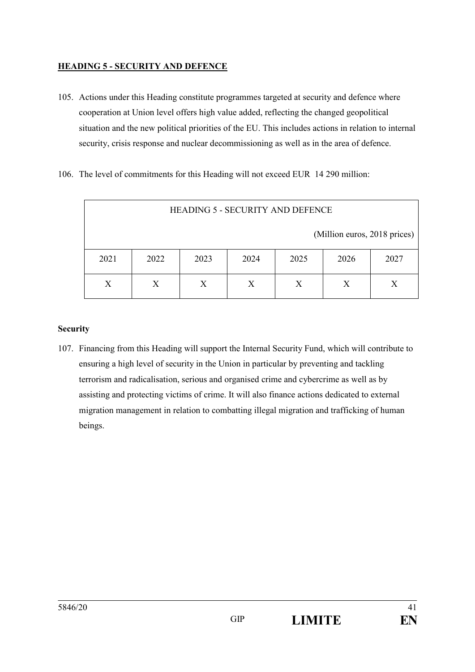## **HEADING 5 - SECURITY AND DEFENCE**

- 105. Actions under this Heading constitute programmes targeted at security and defence where cooperation at Union level offers high value added, reflecting the changed geopolitical situation and the new political priorities of the EU. This includes actions in relation to internal security, crisis response and nuclear decommissioning as well as in the area of defence.
- 106. The level of commitments for this Heading will not exceed EUR 14 290 million:

| <b>HEADING 5 - SECURITY AND DEFENCE</b>              |                            |  |  |  |  |  |  |  |  |
|------------------------------------------------------|----------------------------|--|--|--|--|--|--|--|--|
| (Million euros, 2018 prices)                         |                            |  |  |  |  |  |  |  |  |
| 2023<br>2021<br>2022<br>2025<br>2026<br>2024<br>2027 |                            |  |  |  |  |  |  |  |  |
| X                                                    | Х<br>X<br>X<br>Χ<br>X<br>X |  |  |  |  |  |  |  |  |

## **Security**

107. Financing from this Heading will support the Internal Security Fund, which will contribute to ensuring a high level of security in the Union in particular by preventing and tackling terrorism and radicalisation, serious and organised crime and cybercrime as well as by assisting and protecting victims of crime. It will also finance actions dedicated to external migration management in relation to combatting illegal migration and trafficking of human beings.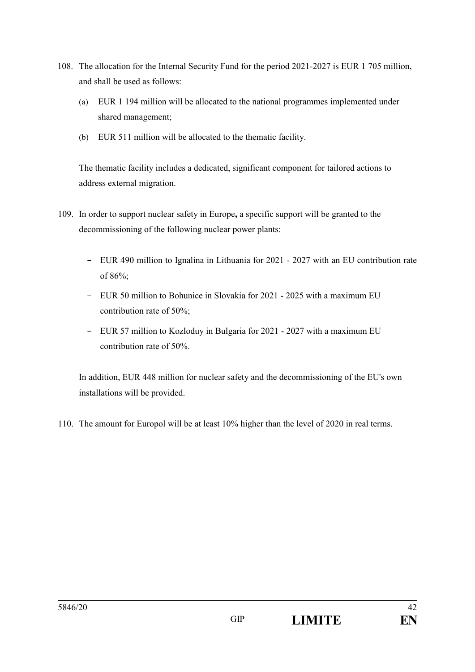- 108. The allocation for the Internal Security Fund for the period 2021-2027 is EUR 1 705 million, and shall be used as follows:
	- (a) EUR 1 194 million will be allocated to the national programmes implemented under shared management;
	- (b) EUR 511 million will be allocated to the thematic facility.

The thematic facility includes a dedicated, significant component for tailored actions to address external migration.

- 109. In order to support nuclear safety in Europe**,** a specific support will be granted to the decommissioning of the following nuclear power plants:
	- EUR 490 million to Ignalina in Lithuania for 2021 2027 with an EU contribution rate of 86%;
	- EUR 50 million to Bohunice in Slovakia for 2021 2025 with a maximum EU contribution rate of 50%;
	- EUR 57 million to Kozloduy in Bulgaria for 2021 2027 with a maximum EU contribution rate of 50%.

In addition, EUR 448 million for nuclear safety and the decommissioning of the EU's own installations will be provided.

110. The amount for Europol will be at least 10% higher than the level of 2020 in real terms.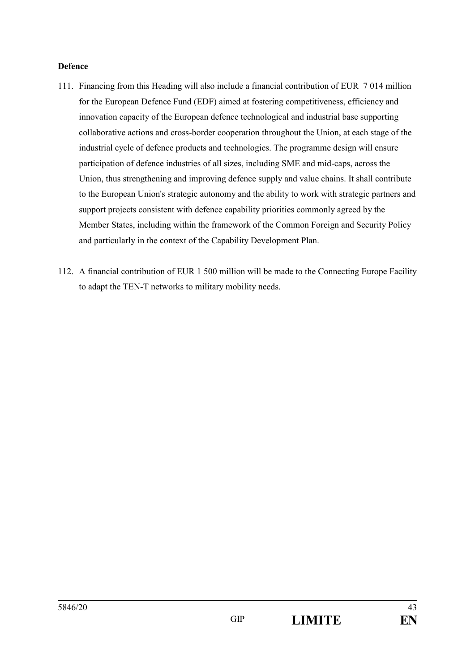#### **Defence**

- 111. Financing from this Heading will also include a financial contribution of EUR 7 014 million for the European Defence Fund (EDF) aimed at fostering competitiveness, efficiency and innovation capacity of the European defence technological and industrial base supporting collaborative actions and cross-border cooperation throughout the Union, at each stage of the industrial cycle of defence products and technologies. The programme design will ensure participation of defence industries of all sizes, including SME and mid-caps, across the Union, thus strengthening and improving defence supply and value chains. It shall contribute to the European Union's strategic autonomy and the ability to work with strategic partners and support projects consistent with defence capability priorities commonly agreed by the Member States, including within the framework of the Common Foreign and Security Policy and particularly in the context of the Capability Development Plan.
- 112. A financial contribution of EUR 1 500 million will be made to the Connecting Europe Facility to adapt the TEN-T networks to military mobility needs.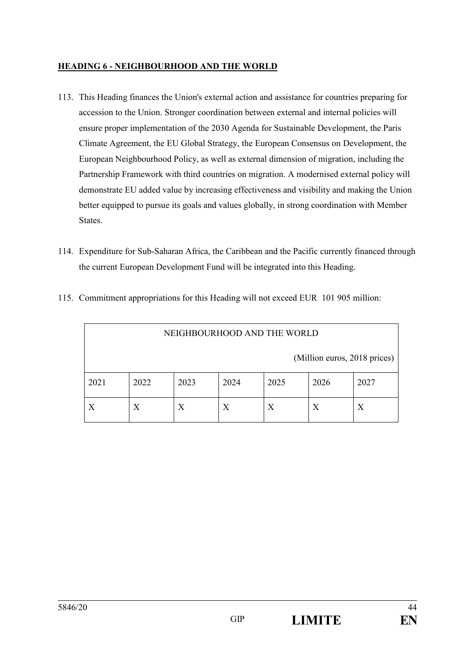## **HEADING 6 - NEIGHBOURHOOD AND THE WORLD**

- 113. This Heading finances the Union's external action and assistance for countries preparing for accession to the Union. Stronger coordination between external and internal policies will ensure proper implementation of the 2030 Agenda for Sustainable Development, the Paris Climate Agreement, the EU Global Strategy, the European Consensus on Development, the European Neighbourhood Policy, as well as external dimension of migration, including the Partnership Framework with third countries on migration. A modernised external policy will demonstrate EU added value by increasing effectiveness and visibility and making the Union better equipped to pursue its goals and values globally, in strong coordination with Member States.
- 114. Expenditure for Sub-Saharan Africa, the Caribbean and the Pacific currently financed through the current European Development Fund will be integrated into this Heading.

| NEIGHBOURHOOD AND THE WORLD |                              |      |      |      |      |      |  |  |  |
|-----------------------------|------------------------------|------|------|------|------|------|--|--|--|
|                             | (Million euros, 2018 prices) |      |      |      |      |      |  |  |  |
| 2021                        | 2022                         | 2023 | 2024 | 2025 | 2026 | 2027 |  |  |  |
| Х                           | X<br>Х<br>Х<br>X<br>Х        |      |      |      |      |      |  |  |  |

115. Commitment appropriations for this Heading will not exceed EUR 101 905 million: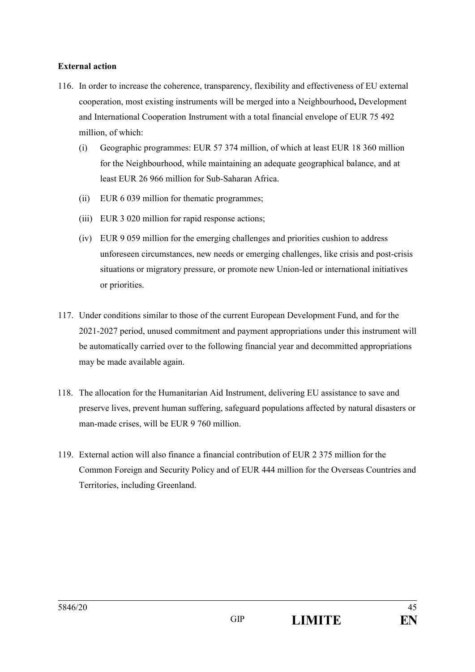#### **External action**

- 116. In order to increase the coherence, transparency, flexibility and effectiveness of EU external cooperation, most existing instruments will be merged into a Neighbourhood**,** Development and International Cooperation Instrument with a total financial envelope of EUR 75 492 million, of which:
	- (i) Geographic programmes: EUR 57 374 million, of which at least EUR 18 360 million for the Neighbourhood, while maintaining an adequate geographical balance, and at least EUR 26 966 million for Sub-Saharan Africa.
	- (ii) EUR 6 039 million for thematic programmes;
	- (iii) EUR 3 020 million for rapid response actions;
	- (iv) EUR 9 059 million for the emerging challenges and priorities cushion to address unforeseen circumstances, new needs or emerging challenges, like crisis and post-crisis situations or migratory pressure, or promote new Union-led or international initiatives or priorities.
- 117. Under conditions similar to those of the current European Development Fund, and for the 2021-2027 period, unused commitment and payment appropriations under this instrument will be automatically carried over to the following financial year and decommitted appropriations may be made available again.
- 118. The allocation for the Humanitarian Aid Instrument, delivering EU assistance to save and preserve lives, prevent human suffering, safeguard populations affected by natural disasters or man-made crises, will be EUR 9 760 million.
- 119. External action will also finance a financial contribution of EUR 2 375 million for the Common Foreign and Security Policy and of EUR 444 million for the Overseas Countries and Territories, including Greenland.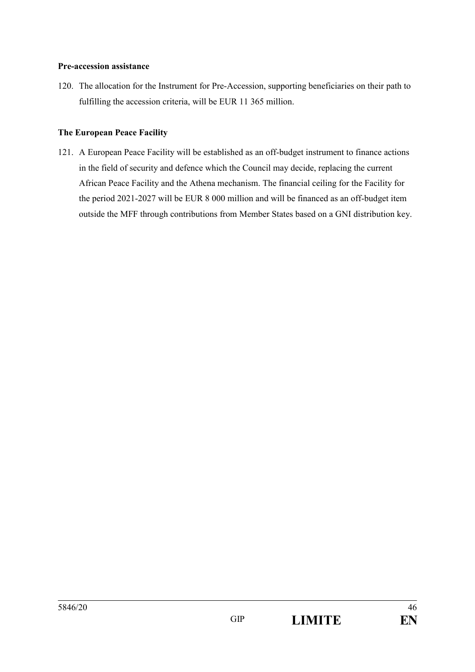#### **Pre-accession assistance**

120. The allocation for the Instrument for Pre-Accession, supporting beneficiaries on their path to fulfilling the accession criteria, will be EUR 11 365 million.

#### **The European Peace Facility**

121. A European Peace Facility will be established as an off-budget instrument to finance actions in the field of security and defence which the Council may decide, replacing the current African Peace Facility and the Athena mechanism. The financial ceiling for the Facility for the period 2021-2027 will be EUR 8 000 million and will be financed as an off-budget item outside the MFF through contributions from Member States based on a GNI distribution key.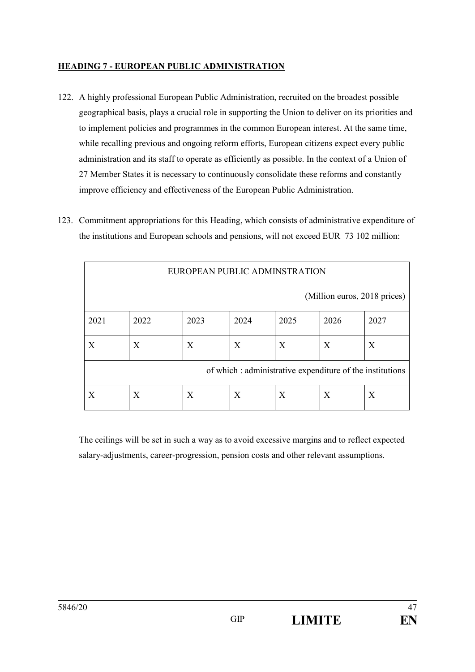## **HEADING 7 - EUROPEAN PUBLIC ADMINISTRATION**

- 122. A highly professional European Public Administration, recruited on the broadest possible geographical basis, plays a crucial role in supporting the Union to deliver on its priorities and to implement policies and programmes in the common European interest. At the same time, while recalling previous and ongoing reform efforts, European citizens expect every public administration and its staff to operate as efficiently as possible. In the context of a Union of 27 Member States it is necessary to continuously consolidate these reforms and constantly improve efficiency and effectiveness of the European Public Administration.
- 123. Commitment appropriations for this Heading, which consists of administrative expenditure of the institutions and European schools and pensions, will not exceed EUR 73 102 million:

| EUROPEAN PUBLIC ADMINSTRATION                             |      |      |      |      |      |      |  |  |
|-----------------------------------------------------------|------|------|------|------|------|------|--|--|
| (Million euros, 2018 prices)                              |      |      |      |      |      |      |  |  |
| 2021                                                      | 2022 | 2023 | 2024 | 2025 | 2026 | 2027 |  |  |
| Χ                                                         | X    | X    | X    | X    | X    | X    |  |  |
| of which : administrative expenditure of the institutions |      |      |      |      |      |      |  |  |
| X                                                         | X    | X    | X    | X    | X    | X    |  |  |

The ceilings will be set in such a way as to avoid excessive margins and to reflect expected salary-adjustments, career-progression, pension costs and other relevant assumptions.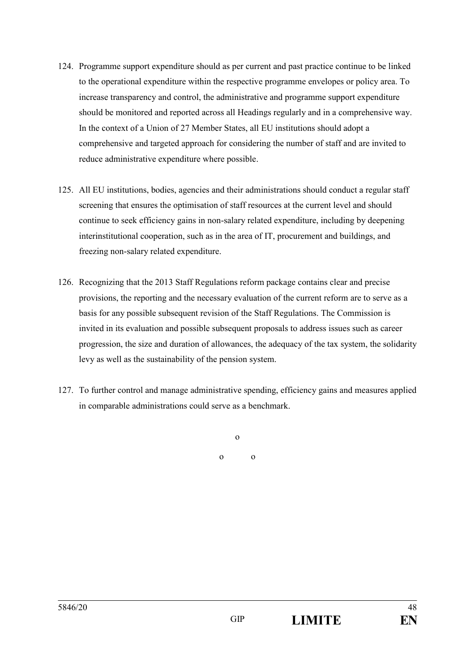- 124. Programme support expenditure should as per current and past practice continue to be linked to the operational expenditure within the respective programme envelopes or policy area. To increase transparency and control, the administrative and programme support expenditure should be monitored and reported across all Headings regularly and in a comprehensive way. In the context of a Union of 27 Member States, all EU institutions should adopt a comprehensive and targeted approach for considering the number of staff and are invited to reduce administrative expenditure where possible.
- 125. All EU institutions, bodies, agencies and their administrations should conduct a regular staff screening that ensures the optimisation of staff resources at the current level and should continue to seek efficiency gains in non-salary related expenditure, including by deepening interinstitutional cooperation, such as in the area of IT, procurement and buildings, and freezing non-salary related expenditure.
- 126. Recognizing that the 2013 Staff Regulations reform package contains clear and precise provisions, the reporting and the necessary evaluation of the current reform are to serve as a basis for any possible subsequent revision of the Staff Regulations. The Commission is invited in its evaluation and possible subsequent proposals to address issues such as career progression, the size and duration of allowances, the adequacy of the tax system, the solidarity levy as well as the sustainability of the pension system.
- 127. To further control and manage administrative spending, efficiency gains and measures applied in comparable administrations could serve as a benchmark.

o o o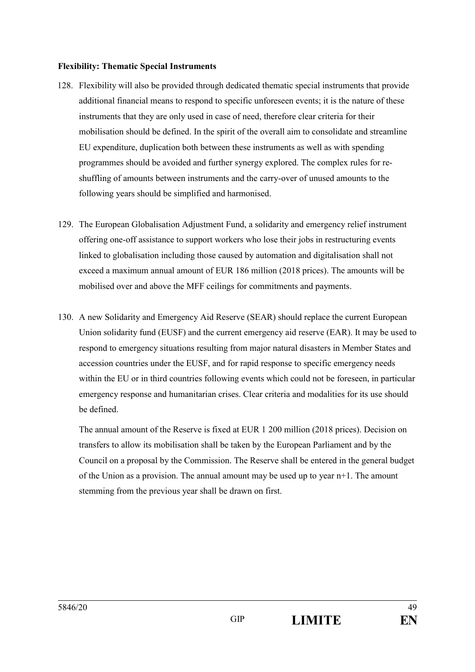#### **Flexibility: Thematic Special Instruments**

- 128. Flexibility will also be provided through dedicated thematic special instruments that provide additional financial means to respond to specific unforeseen events; it is the nature of these instruments that they are only used in case of need, therefore clear criteria for their mobilisation should be defined. In the spirit of the overall aim to consolidate and streamline EU expenditure, duplication both between these instruments as well as with spending programmes should be avoided and further synergy explored. The complex rules for reshuffling of amounts between instruments and the carry-over of unused amounts to the following years should be simplified and harmonised.
- 129. The European Globalisation Adjustment Fund, a solidarity and emergency relief instrument offering one-off assistance to support workers who lose their jobs in restructuring events linked to globalisation including those caused by automation and digitalisation shall not exceed a maximum annual amount of EUR 186 million (2018 prices). The amounts will be mobilised over and above the MFF ceilings for commitments and payments.
- 130. A new Solidarity and Emergency Aid Reserve (SEAR) should replace the current European Union solidarity fund (EUSF) and the current emergency aid reserve (EAR). It may be used to respond to emergency situations resulting from major natural disasters in Member States and accession countries under the EUSF, and for rapid response to specific emergency needs within the EU or in third countries following events which could not be foreseen, in particular emergency response and humanitarian crises. Clear criteria and modalities for its use should be defined.

The annual amount of the Reserve is fixed at EUR 1 200 million (2018 prices). Decision on transfers to allow its mobilisation shall be taken by the European Parliament and by the Council on a proposal by the Commission. The Reserve shall be entered in the general budget of the Union as a provision. The annual amount may be used up to year n+1. The amount stemming from the previous year shall be drawn on first.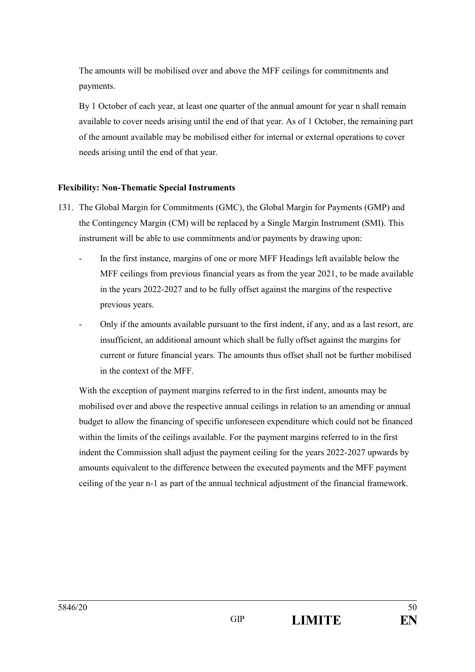The amounts will be mobilised over and above the MFF ceilings for commitments and payments.

By 1 October of each year, at least one quarter of the annual amount for year n shall remain available to cover needs arising until the end of that year. As of 1 October, the remaining part of the amount available may be mobilised either for internal or external operations to cover needs arising until the end of that year.

## **Flexibility: Non-Thematic Special Instruments**

- 131. The Global Margin for Commitments (GMC), the Global Margin for Payments (GMP) and the Contingency Margin (CM) will be replaced by a Single Margin Instrument (SMI). This instrument will be able to use commitments and/or payments by drawing upon:
	- In the first instance, margins of one or more MFF Headings left available below the MFF ceilings from previous financial years as from the year 2021, to be made available in the years 2022-2027 and to be fully offset against the margins of the respective previous years.
	- Only if the amounts available pursuant to the first indent, if any, and as a last resort, are insufficient, an additional amount which shall be fully offset against the margins for current or future financial years. The amounts thus offset shall not be further mobilised in the context of the MFF.

With the exception of payment margins referred to in the first indent, amounts may be mobilised over and above the respective annual ceilings in relation to an amending or annual budget to allow the financing of specific unforeseen expenditure which could not be financed within the limits of the ceilings available. For the payment margins referred to in the first indent the Commission shall adjust the payment ceiling for the years 2022-2027 upwards by amounts equivalent to the difference between the executed payments and the MFF payment ceiling of the year n-1 as part of the annual technical adjustment of the financial framework.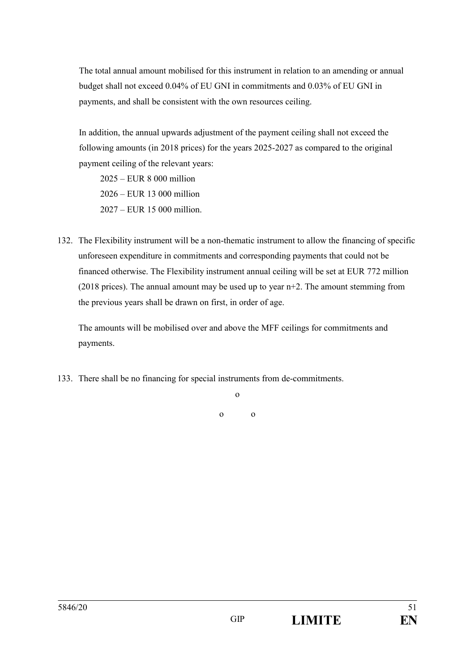The total annual amount mobilised for this instrument in relation to an amending or annual budget shall not exceed 0.04% of EU GNI in commitments and 0.03% of EU GNI in payments, and shall be consistent with the own resources ceiling.

In addition, the annual upwards adjustment of the payment ceiling shall not exceed the following amounts (in 2018 prices) for the years 2025-2027 as compared to the original payment ceiling of the relevant years:

 $2025 - EUR$  8 000 million  $2026 - EUR$  13 000 million  $2027 - EUR$  15 000 million.

132. The Flexibility instrument will be a non-thematic instrument to allow the financing of specific unforeseen expenditure in commitments and corresponding payments that could not be financed otherwise. The Flexibility instrument annual ceiling will be set at EUR 772 million (2018 prices). The annual amount may be used up to year n+2. The amount stemming from the previous years shall be drawn on first, in order of age.

The amounts will be mobilised over and above the MFF ceilings for commitments and payments.

133. There shall be no financing for special instruments from de-commitments.

o

o o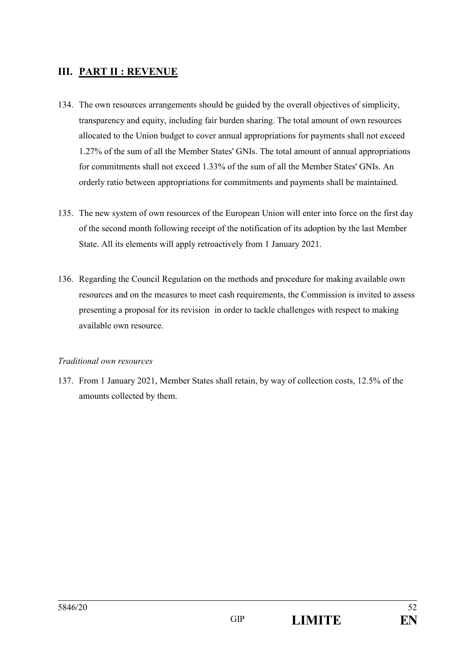# **III. PART II : REVENUE**

- 134. The own resources arrangements should be guided by the overall objectives of simplicity, transparency and equity, including fair burden sharing. The total amount of own resources allocated to the Union budget to cover annual appropriations for payments shall not exceed 1.27% of the sum of all the Member States' GNIs. The total amount of annual appropriations for commitments shall not exceed 1.33% of the sum of all the Member States' GNIs. An orderly ratio between appropriations for commitments and payments shall be maintained.
- 135. The new system of own resources of the European Union will enter into force on the first day of the second month following receipt of the notification of its adoption by the last Member State. All its elements will apply retroactively from 1 January 2021.
- 136. Regarding the Council Regulation on the methods and procedure for making available own resources and on the measures to meet cash requirements, the Commission is invited to assess presenting a proposal for its revision in order to tackle challenges with respect to making available own resource.

#### *Traditional own resources*

137. From 1 January 2021, Member States shall retain, by way of collection costs, 12.5% of the amounts collected by them.